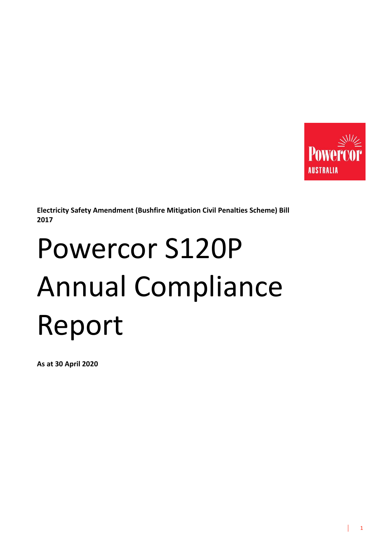

**Electricity Safety Amendment (Bushfire Mitigation Civil Penalties Scheme) Bill 2017** 

# Powercor S120P Annual Compliance Report

**As at 30 April 2020**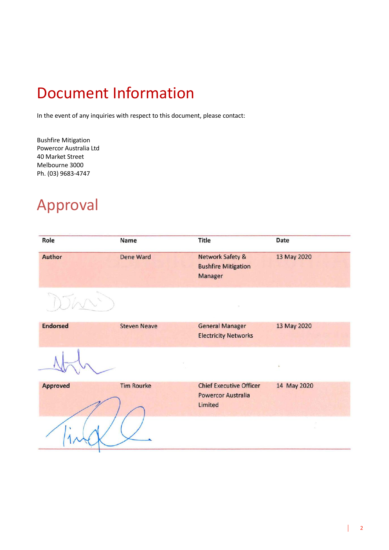## Document Information

In the event of any inquiries with respect to this document, please contact:

Bushfire Mitigation Powercor Australia Ltd 40 Market Street Melbourne 3000 Ph. (03) 9683-4747

### Approval

| Role            | Name                | <b>Title</b>                                                           | Date         |
|-----------------|---------------------|------------------------------------------------------------------------|--------------|
| Author          | Dene Ward           | <b>Network Safety &amp;</b><br><b>Bushfire Mitigation</b><br>Manager   | 13 May 2020  |
|                 |                     |                                                                        |              |
| <b>Endorsed</b> | <b>Steven Neave</b> | <b>General Manager</b><br><b>Electricity Networks</b>                  | 13 May 2020  |
|                 |                     |                                                                        | $\mathbf{u}$ |
| <b>Approved</b> | <b>Tim Rourke</b>   | <b>Chief Executive Officer</b><br><b>Powercor Australia</b><br>Limited | 14 May 2020  |
|                 |                     |                                                                        |              |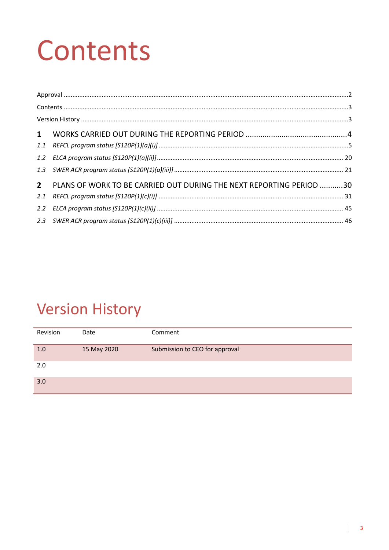## Contents

| 2 PLANS OF WORK TO BE CARRIED OUT DURING THE NEXT REPORTING PERIOD 30 |  |
|-----------------------------------------------------------------------|--|
|                                                                       |  |
|                                                                       |  |
|                                                                       |  |

## **Version History**

| Revision | Date        | Comment                        |
|----------|-------------|--------------------------------|
| 1.0      | 15 May 2020 | Submission to CEO for approval |
| 2.0      |             |                                |
| 3.0      |             |                                |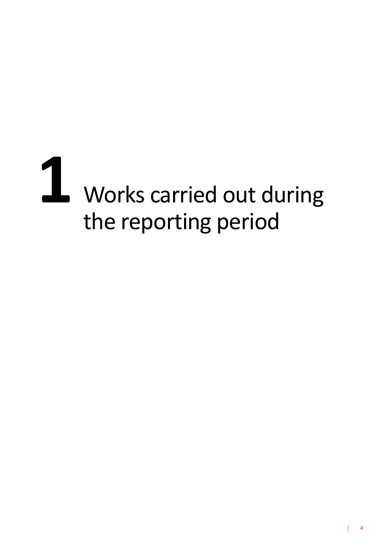# Works carried out during the reporting period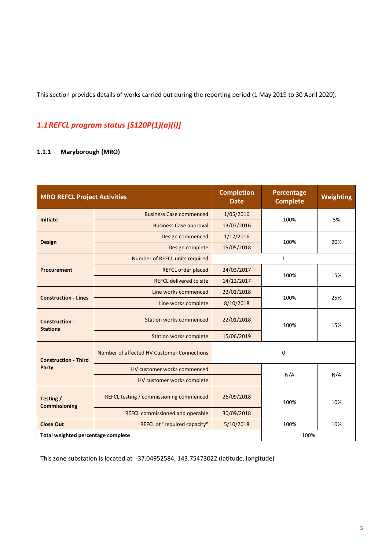This section provides details of works carried out during the reporting period (1 May 2019 to 30 April 2020).

#### *1.1REFCL program status [S120P(1)(a)(i)]*

#### **1.1.1 Maryborough (MRO)**

| <b>MRO REFCL Project Activities</b>      |                                            | <b>Completion</b><br><b>Date</b> | <b>Percentage</b><br><b>Complete</b> | <b>Weighting</b> |
|------------------------------------------|--------------------------------------------|----------------------------------|--------------------------------------|------------------|
| <b>Initiate</b>                          | <b>Business Case commenced</b>             | 1/05/2016                        | 100%                                 | 5%               |
|                                          | <b>Business Case approval</b>              | 13/07/2016                       |                                      |                  |
|                                          | Design commenced                           | 1/12/2016                        | 100%                                 | 20%              |
| <b>Design</b>                            | Design complete                            | 15/05/2018                       |                                      |                  |
|                                          | Number of REFCL units required             |                                  | $\mathbf{1}$                         |                  |
| <b>Procurement</b>                       | <b>REFCL order placed</b>                  | 24/03/2017                       | 100%                                 | 15%              |
|                                          | <b>REFCL delivered to site</b>             | 14/12/2017                       |                                      |                  |
| <b>Construction - Lines</b>              | Line works commenced                       | 22/01/2018                       | 100%                                 | 25%              |
|                                          | Line works complete                        | 8/10/2018                        |                                      |                  |
| <b>Construction -</b><br><b>Stations</b> | <b>Station works commenced</b>             | 22/01/2018                       | 100%                                 | 15%              |
|                                          | <b>Station works complete</b>              | 15/06/2019                       |                                      |                  |
| <b>Construction - Third</b>              | Number of affected HV Customer Connections |                                  | $\mathbf 0$                          |                  |
| Party                                    | HV customer works commenced                |                                  | N/A                                  | N/A              |
|                                          | HV customer works complete                 |                                  |                                      |                  |
| Testing /<br><b>Commissioning</b>        | REFCL testing / commissioning commenced    | 26/09/2018                       | 100%                                 | 10%              |
|                                          | <b>REFCL commissioned and operable</b>     | 30/09/2018                       |                                      |                  |
| <b>Close Out</b>                         | REFCL at "required capacity"               | 5/10/2018                        | 100%                                 | 10%              |
| Total weighted percentage complete       |                                            |                                  | 100%                                 |                  |

This zone substation is located at -37.04952584, 143.75473022 (latitude, longitude)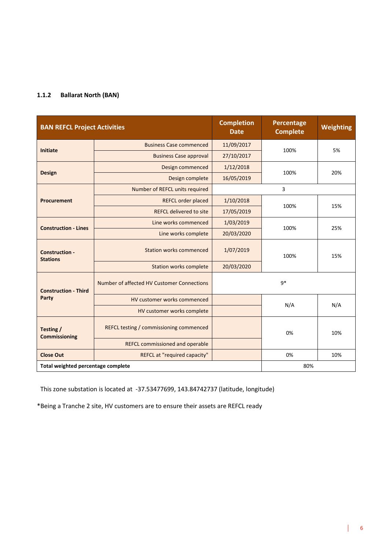#### **1.1.2 Ballarat North (BAN)**

| <b>BAN REFCL Project Activities</b>      |                                            | <b>Completion</b><br><b>Date</b> | Percentage<br><b>Complete</b> | <b>Weighting</b> |
|------------------------------------------|--------------------------------------------|----------------------------------|-------------------------------|------------------|
| <b>Initiate</b>                          | <b>Business Case commenced</b>             | 11/09/2017                       | 100%                          | 5%               |
|                                          | <b>Business Case approval</b>              | 27/10/2017                       |                               |                  |
|                                          | Design commenced                           | 1/12/2018                        | 100%                          | 20%              |
| <b>Design</b>                            | Design complete                            | 16/05/2019                       |                               |                  |
|                                          | Number of REFCL units required             |                                  | 3                             |                  |
| <b>Procurement</b>                       | REFCL order placed                         | 1/10/2018                        | 100%                          | 15%              |
|                                          | <b>REFCL delivered to site</b>             | 17/05/2019                       |                               |                  |
| <b>Construction - Lines</b>              | Line works commenced                       | 1/03/2019                        | 100%                          | 25%              |
|                                          | Line works complete                        | 20/03/2020                       |                               |                  |
| <b>Construction -</b><br><b>Stations</b> | <b>Station works commenced</b>             | 1/07/2019                        | 100%                          | 15%              |
|                                          | <b>Station works complete</b>              | 20/03/2020                       |                               |                  |
| <b>Construction - Third</b>              | Number of affected HV Customer Connections |                                  | $q*$                          |                  |
| Party                                    | HV customer works commenced                |                                  |                               |                  |
|                                          | HV customer works complete                 |                                  | N/A                           | N/A              |
| Testing /<br><b>Commissioning</b>        | REFCL testing / commissioning commenced    |                                  | 0%                            | 10%              |
|                                          | <b>REFCL commissioned and operable</b>     |                                  |                               |                  |
| <b>Close Out</b>                         | REFCL at "required capacity"               |                                  | 0%                            | 10%              |
| Total weighted percentage complete       |                                            |                                  | 80%                           |                  |

This zone substation is located at -37.53477699, 143.84742737 (latitude, longitude)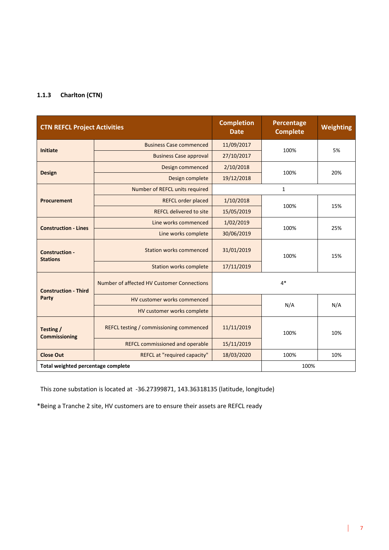#### **1.1.3 Charlton (CTN)**

| <b>CTN REFCL Project Activities</b>      |                                            | <b>Completion</b><br><b>Date</b> | Percentage<br><b>Complete</b> | <b>Weighting</b> |
|------------------------------------------|--------------------------------------------|----------------------------------|-------------------------------|------------------|
| <b>Initiate</b>                          | <b>Business Case commenced</b>             | 11/09/2017                       | 100%                          | 5%               |
|                                          | <b>Business Case approval</b>              | 27/10/2017                       |                               |                  |
| <b>Design</b>                            | Design commenced                           | 2/10/2018                        | 100%                          | 20%              |
|                                          | Design complete                            | 19/12/2018                       |                               |                  |
|                                          | Number of REFCL units required             |                                  | $\mathbf{1}$                  |                  |
| <b>Procurement</b>                       | <b>REFCL order placed</b>                  | 1/10/2018                        | 100%                          | 15%              |
|                                          | <b>REFCL delivered to site</b>             | 15/05/2019                       |                               |                  |
| <b>Construction - Lines</b>              | Line works commenced                       | 1/02/2019                        | 100%                          | 25%              |
|                                          | Line works complete                        | 30/06/2019                       |                               |                  |
| <b>Construction -</b><br><b>Stations</b> | <b>Station works commenced</b>             | 31/01/2019                       | 100%                          | 15%              |
|                                          | <b>Station works complete</b>              | 17/11/2019                       |                               |                  |
| <b>Construction - Third</b>              | Number of affected HV Customer Connections |                                  | $4*$                          |                  |
| Party                                    | HV customer works commenced                |                                  | N/A                           | N/A              |
|                                          | HV customer works complete                 |                                  |                               |                  |
| Testing /<br><b>Commissioning</b>        | REFCL testing / commissioning commenced    | 11/11/2019                       | 100%                          | 10%              |
|                                          | <b>REFCL commissioned and operable</b>     | 15/11/2019                       |                               |                  |
| <b>Close Out</b>                         | REFCL at "required capacity"               | 18/03/2020                       | 100%                          | 10%              |
| Total weighted percentage complete       |                                            |                                  | 100%                          |                  |

This zone substation is located at -36.27399871, 143.36318135 (latitude, longitude)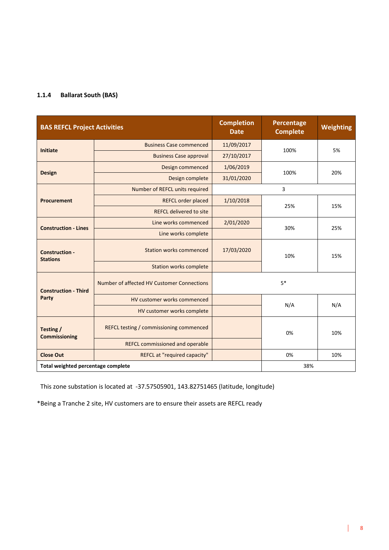#### **1.1.4 Ballarat South (BAS)**

| <b>BAS REFCL Project Activities</b>      |                                            | <b>Completion</b><br><b>Date</b> | Percentage<br><b>Complete</b> | <b>Weighting</b> |
|------------------------------------------|--------------------------------------------|----------------------------------|-------------------------------|------------------|
| <b>Initiate</b>                          | <b>Business Case commenced</b>             | 11/09/2017                       | 100%                          | 5%               |
|                                          | <b>Business Case approval</b>              | 27/10/2017                       |                               |                  |
|                                          | Design commenced                           | 1/06/2019                        | 100%                          | 20%              |
| <b>Design</b>                            | Design complete                            | 31/01/2020                       |                               |                  |
|                                          | Number of REFCL units required             |                                  | 3                             |                  |
| <b>Procurement</b>                       | REFCL order placed                         | 1/10/2018                        | 25%                           | 15%              |
|                                          | <b>REFCL delivered to site</b>             |                                  |                               |                  |
| <b>Construction - Lines</b>              | Line works commenced                       | 2/01/2020                        | 30%                           | 25%              |
|                                          | Line works complete                        |                                  |                               |                  |
| <b>Construction -</b><br><b>Stations</b> | <b>Station works commenced</b>             | 17/03/2020                       | 10%                           | 15%              |
|                                          | <b>Station works complete</b>              |                                  |                               |                  |
| <b>Construction - Third</b>              | Number of affected HV Customer Connections |                                  | $5*$                          |                  |
| Party                                    | HV customer works commenced                |                                  | N/A                           | N/A              |
|                                          | HV customer works complete                 |                                  |                               |                  |
| Testing /<br><b>Commissioning</b>        | REFCL testing / commissioning commenced    |                                  | 0%                            | 10%              |
|                                          | <b>REFCL commissioned and operable</b>     |                                  |                               |                  |
| <b>Close Out</b>                         | REFCL at "required capacity"               |                                  | 0%                            | 10%              |
| Total weighted percentage complete       |                                            |                                  | 38%                           |                  |

This zone substation is located at -37.57505901, 143.82751465 (latitude, longitude)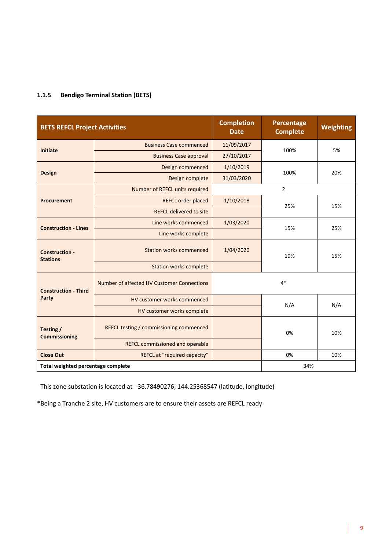#### **1.1.5 Bendigo Terminal Station (BETS)**

| <b>BETS REFCL Project Activities</b>     |                                            | <b>Completion</b><br><b>Date</b> | Percentage<br><b>Complete</b> | <b>Weighting</b> |
|------------------------------------------|--------------------------------------------|----------------------------------|-------------------------------|------------------|
| <b>Initiate</b>                          | <b>Business Case commenced</b>             | 11/09/2017                       | 100%                          | 5%               |
|                                          | <b>Business Case approval</b>              | 27/10/2017                       |                               |                  |
| <b>Design</b>                            | Design commenced                           | 1/10/2019                        | 100%                          | 20%              |
|                                          | Design complete                            | 31/03/2020                       |                               |                  |
|                                          | Number of REFCL units required             |                                  | $\overline{2}$                |                  |
| <b>Procurement</b>                       | <b>REFCL order placed</b>                  | 1/10/2018                        | 25%                           | 15%              |
|                                          | <b>REFCL delivered to site</b>             |                                  |                               |                  |
| <b>Construction - Lines</b>              | Line works commenced                       | 1/03/2020                        | 15%                           | 25%              |
|                                          | Line works complete                        |                                  |                               |                  |
| <b>Construction -</b><br><b>Stations</b> | Station works commenced                    | 1/04/2020                        | 10%                           | 15%              |
|                                          | <b>Station works complete</b>              |                                  |                               |                  |
| <b>Construction - Third</b>              | Number of affected HV Customer Connections |                                  | $4*$                          |                  |
| Party                                    | HV customer works commenced                |                                  | N/A                           | N/A              |
|                                          | HV customer works complete                 |                                  |                               |                  |
| Testing /<br><b>Commissioning</b>        | REFCL testing / commissioning commenced    |                                  | 0%                            | 10%              |
|                                          | <b>REFCL commissioned and operable</b>     |                                  |                               |                  |
| <b>Close Out</b>                         | REFCL at "required capacity"               |                                  | 0%                            | 10%              |
| Total weighted percentage complete       |                                            |                                  | 34%                           |                  |

This zone substation is located at -36.78490276, 144.25368547 (latitude, longitude)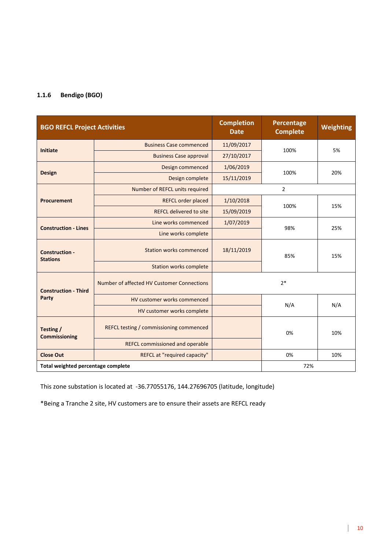#### **1.1.6 Bendigo (BGO)**

| <b>BGO REFCL Project Activities</b>      |                                            | <b>Completion</b><br><b>Date</b> | Percentage<br><b>Complete</b> | <b>Weighting</b> |
|------------------------------------------|--------------------------------------------|----------------------------------|-------------------------------|------------------|
| <b>Initiate</b>                          | <b>Business Case commenced</b>             | 11/09/2017                       | 100%                          | 5%               |
|                                          | <b>Business Case approval</b>              | 27/10/2017                       |                               |                  |
| <b>Design</b>                            | Design commenced                           | 1/06/2019                        | 100%                          | 20%              |
|                                          | Design complete                            | 15/11/2019                       |                               |                  |
|                                          | Number of REFCL units required             |                                  | $\overline{2}$                |                  |
| <b>Procurement</b>                       | <b>REFCL order placed</b>                  | 1/10/2018                        | 100%                          | 15%              |
|                                          | <b>REFCL delivered to site</b>             | 15/09/2019                       |                               |                  |
| <b>Construction - Lines</b>              | Line works commenced                       | 1/07/2019                        | 98%                           | 25%              |
|                                          | Line works complete                        |                                  |                               |                  |
| <b>Construction -</b><br><b>Stations</b> | <b>Station works commenced</b>             | 18/11/2019                       | 85%                           | 15%              |
|                                          | <b>Station works complete</b>              |                                  |                               |                  |
| <b>Construction - Third</b>              | Number of affected HV Customer Connections |                                  | $2*$                          |                  |
| Party                                    | HV customer works commenced                |                                  | N/A                           | N/A              |
|                                          | HV customer works complete                 |                                  |                               |                  |
| Testing /<br><b>Commissioning</b>        | REFCL testing / commissioning commenced    |                                  | 0%                            | 10%              |
|                                          | REFCL commissioned and operable            |                                  |                               |                  |
| <b>Close Out</b>                         | REFCL at "required capacity"               |                                  | 0%                            | 10%              |
| Total weighted percentage complete       |                                            |                                  | 72%                           |                  |

This zone substation is located at -36.77055176, 144.27696705 (latitude, longitude)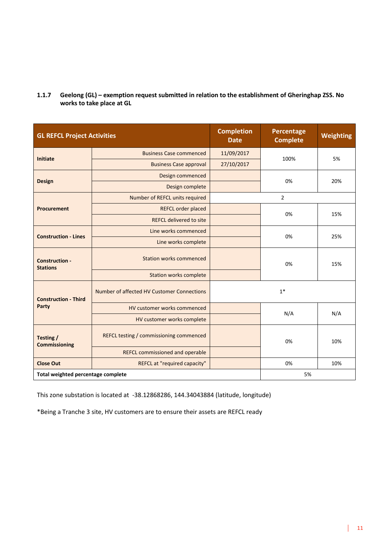| <b>GL REFCL Project Activities</b>       |                                            | <b>Completion</b><br><b>Date</b> | <b>Percentage</b><br><b>Complete</b> | Weighting |
|------------------------------------------|--------------------------------------------|----------------------------------|--------------------------------------|-----------|
|                                          | <b>Business Case commenced</b>             | 11/09/2017                       |                                      |           |
| <b>Initiate</b>                          | <b>Business Case approval</b>              | 27/10/2017                       | 100%                                 | 5%        |
| <b>Design</b>                            | Design commenced                           |                                  |                                      | 20%       |
|                                          | Design complete                            |                                  | 0%                                   |           |
|                                          | Number of REFCL units required             |                                  | $\overline{2}$                       |           |
| <b>Procurement</b>                       | <b>REFCL order placed</b>                  |                                  | 0%                                   | 15%       |
|                                          | <b>REFCL delivered to site</b>             |                                  |                                      |           |
|                                          | Line works commenced                       |                                  | 0%                                   | 25%       |
| <b>Construction - Lines</b>              | Line works complete                        |                                  |                                      |           |
| <b>Construction -</b><br><b>Stations</b> | <b>Station works commenced</b>             |                                  | 0%                                   | 15%       |
|                                          | <b>Station works complete</b>              |                                  |                                      |           |
| <b>Construction - Third</b>              | Number of affected HV Customer Connections |                                  | $1*$                                 |           |
| Party                                    | HV customer works commenced                |                                  |                                      |           |
|                                          | HV customer works complete                 |                                  | N/A                                  | N/A       |
| Testing /<br><b>Commissioning</b>        | REFCL testing / commissioning commenced    |                                  | 0%                                   | 10%       |
|                                          | <b>REFCL commissioned and operable</b>     |                                  |                                      |           |
| <b>Close Out</b>                         | REFCL at "required capacity"               |                                  | 0%                                   | 10%       |
| Total weighted percentage complete       |                                            |                                  | 5%                                   |           |

**1.1.7 Geelong (GL) – exemption request submitted in relation to the establishment of Gheringhap ZSS. No works to take place at GL**

This zone substation is located at -38.12868286, 144.34043884 (latitude, longitude)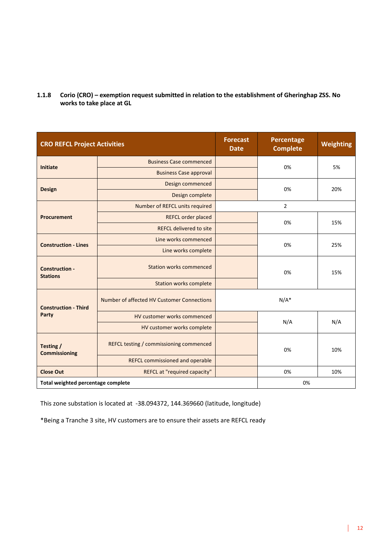**1.1.8 Corio (CRO) – exemption request submitted in relation to the establishment of Gheringhap ZSS. No works to take place at GL**

| <b>CRO REFCL Project Activities</b>      |                                            | <b>Forecast</b><br><b>Date</b> | Percentage<br><b>Complete</b> | Weighting |
|------------------------------------------|--------------------------------------------|--------------------------------|-------------------------------|-----------|
| <b>Initiate</b>                          | <b>Business Case commenced</b>             |                                | 0%                            | 5%        |
|                                          | <b>Business Case approval</b>              |                                |                               |           |
|                                          | Design commenced                           |                                |                               | 20%       |
| <b>Design</b>                            | Design complete                            |                                | 0%                            |           |
|                                          | Number of REFCL units required             |                                | $\overline{2}$                |           |
| <b>Procurement</b>                       | <b>REFCL order placed</b>                  |                                | 0%                            | 15%       |
|                                          | <b>REFCL delivered to site</b>             |                                |                               |           |
|                                          | Line works commenced                       |                                | 0%                            | 25%       |
| <b>Construction - Lines</b>              | Line works complete                        |                                |                               |           |
| <b>Construction -</b><br><b>Stations</b> | <b>Station works commenced</b>             |                                | 0%                            | 15%       |
|                                          | <b>Station works complete</b>              |                                |                               |           |
| <b>Construction - Third</b>              | Number of affected HV Customer Connections |                                | $N/A^*$                       |           |
| Party                                    | HV customer works commenced                |                                | N/A                           | N/A       |
|                                          | HV customer works complete                 |                                |                               |           |
| Testing /<br><b>Commissioning</b>        | REFCL testing / commissioning commenced    |                                | 0%                            | 10%       |
|                                          | <b>REFCL commissioned and operable</b>     |                                |                               |           |
| <b>Close Out</b>                         | REFCL at "required capacity"               |                                | 0%                            | 10%       |
| Total weighted percentage complete       |                                            |                                | 0%                            |           |

This zone substation is located at -38.094372, 144.369660 (latitude, longitude)

\*Being a Tranche 3 site, HV customers are to ensure their assets are REFCL ready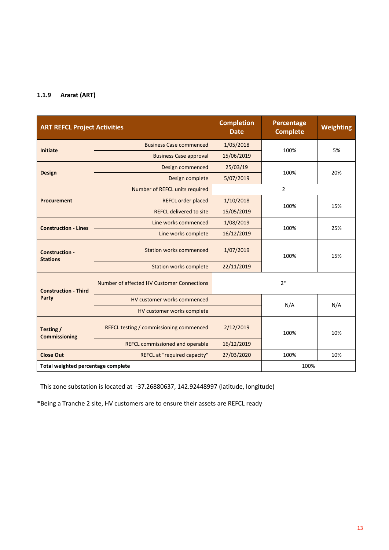#### **1.1.9 Ararat (ART)**

| <b>ART REFCL Project Activities</b>      |                                            | <b>Completion</b><br><b>Date</b> | Percentage<br><b>Complete</b> | <b>Weighting</b> |
|------------------------------------------|--------------------------------------------|----------------------------------|-------------------------------|------------------|
| <b>Initiate</b>                          | <b>Business Case commenced</b>             | 1/05/2018                        | 100%                          | 5%               |
|                                          | <b>Business Case approval</b>              | 15/06/2019                       |                               |                  |
| <b>Design</b>                            | Design commenced                           | 25/03/19                         | 100%                          | 20%              |
|                                          | Design complete                            | 5/07/2019                        |                               |                  |
|                                          | Number of REFCL units required             |                                  | $\overline{2}$                |                  |
| Procurement                              | <b>REFCL order placed</b>                  | 1/10/2018                        | 100%                          | 15%              |
|                                          | <b>REFCL delivered to site</b>             | 15/05/2019                       |                               |                  |
| <b>Construction - Lines</b>              | Line works commenced                       | 1/08/2019                        | 100%                          | 25%              |
|                                          | Line works complete                        | 16/12/2019                       |                               |                  |
| <b>Construction -</b><br><b>Stations</b> | <b>Station works commenced</b>             | 1/07/2019                        | 100%                          | 15%              |
|                                          | <b>Station works complete</b>              | 22/11/2019                       |                               |                  |
| <b>Construction - Third</b>              | Number of affected HV Customer Connections |                                  | $2*$                          |                  |
| Party                                    | HV customer works commenced                |                                  | N/A                           | N/A              |
|                                          | HV customer works complete                 |                                  |                               |                  |
| Testing /<br><b>Commissioning</b>        | REFCL testing / commissioning commenced    | 2/12/2019                        | 100%                          | 10%              |
|                                          | <b>REFCL commissioned and operable</b>     | 16/12/2019                       |                               |                  |
| <b>Close Out</b>                         | REFCL at "required capacity"               | 27/03/2020                       | 100%                          | 10%              |
| Total weighted percentage complete       |                                            |                                  | 100%                          |                  |

This zone substation is located at -37.26880637, 142.92448997 (latitude, longitude)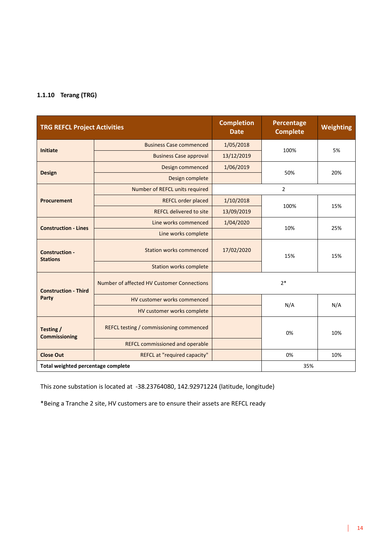#### **1.1.10 Terang (TRG)**

| <b>TRG REFCL Project Activities</b>      |                                            | <b>Completion</b><br><b>Date</b> | Percentage<br><b>Complete</b> | <b>Weighting</b> |
|------------------------------------------|--------------------------------------------|----------------------------------|-------------------------------|------------------|
| <b>Initiate</b>                          | <b>Business Case commenced</b>             | 1/05/2018                        | 100%                          | 5%               |
|                                          | <b>Business Case approval</b>              | 13/12/2019                       |                               |                  |
| <b>Design</b>                            | Design commenced                           | 1/06/2019                        | 50%                           | 20%              |
|                                          | Design complete                            |                                  |                               |                  |
|                                          | Number of REFCL units required             |                                  | $\overline{2}$                |                  |
| <b>Procurement</b>                       | <b>REFCL order placed</b>                  | 1/10/2018                        | 100%                          | 15%              |
|                                          | <b>REFCL delivered to site</b>             | 13/09/2019                       |                               |                  |
| <b>Construction - Lines</b>              | Line works commenced                       | 1/04/2020                        | 10%                           | 25%              |
|                                          | Line works complete                        |                                  |                               |                  |
| <b>Construction -</b><br><b>Stations</b> | <b>Station works commenced</b>             | 17/02/2020                       | 15%                           | 15%              |
|                                          | <b>Station works complete</b>              |                                  |                               |                  |
| <b>Construction - Third</b>              | Number of affected HV Customer Connections | $2*$                             |                               |                  |
| Party                                    | HV customer works commenced                |                                  | N/A                           | N/A              |
|                                          | HV customer works complete                 |                                  |                               |                  |
| Testing /<br><b>Commissioning</b>        | REFCL testing / commissioning commenced    |                                  | 0%                            | 10%              |
|                                          | <b>REFCL commissioned and operable</b>     |                                  |                               |                  |
| <b>Close Out</b>                         | REFCL at "required capacity"               | 0%<br>10%                        |                               |                  |
| Total weighted percentage complete       |                                            |                                  | 35%                           |                  |

This zone substation is located at -38.23764080, 142.92971224 (latitude, longitude)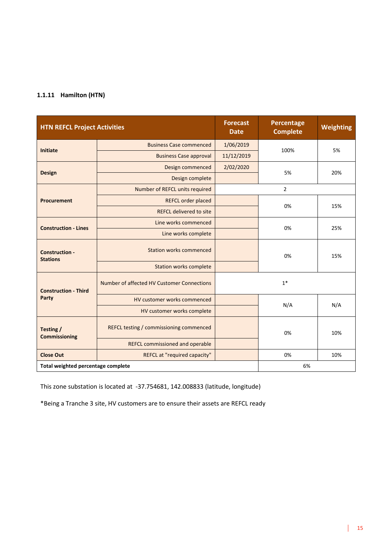#### **1.1.11 Hamilton (HTN)**

| <b>HTN REFCL Project Activities</b>      |                                            | <b>Forecast</b><br><b>Date</b> | Percentage<br><b>Complete</b> | Weighting |  |
|------------------------------------------|--------------------------------------------|--------------------------------|-------------------------------|-----------|--|
| <b>Initiate</b>                          | <b>Business Case commenced</b>             | 1/06/2019                      | 100%                          |           |  |
|                                          | <b>Business Case approval</b>              | 11/12/2019                     |                               | 5%        |  |
| <b>Design</b>                            | Design commenced                           | 2/02/2020                      | 5%                            | 20%       |  |
|                                          | Design complete                            |                                |                               |           |  |
|                                          | Number of REFCL units required             |                                | $\overline{2}$                |           |  |
| <b>Procurement</b>                       | REFCL order placed                         |                                | 0%                            | 15%       |  |
|                                          | <b>REFCL delivered to site</b>             |                                |                               |           |  |
| <b>Construction - Lines</b>              | Line works commenced                       |                                | 0%                            | 25%       |  |
|                                          | Line works complete                        |                                |                               |           |  |
| <b>Construction -</b><br><b>Stations</b> | <b>Station works commenced</b>             |                                | 0%                            | 15%       |  |
|                                          | <b>Station works complete</b>              |                                |                               |           |  |
| <b>Construction - Third</b>              | Number of affected HV Customer Connections |                                | $1*$                          |           |  |
| Party                                    | HV customer works commenced                |                                | N/A                           | N/A       |  |
|                                          | HV customer works complete                 |                                |                               |           |  |
| Testing /<br><b>Commissioning</b>        | REFCL testing / commissioning commenced    |                                | 0%                            | 10%       |  |
|                                          | <b>REFCL commissioned and operable</b>     |                                |                               |           |  |
| <b>Close Out</b>                         | REFCL at "required capacity"               | 0%<br>10%                      |                               |           |  |
| Total weighted percentage complete       |                                            |                                | 6%                            |           |  |

This zone substation is located at -37.754681, 142.008833 (latitude, longitude)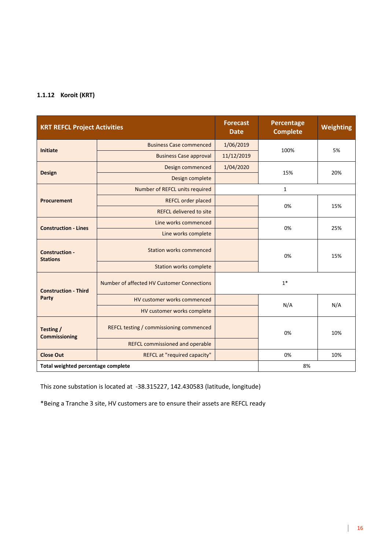#### **1.1.12 Koroit (KRT)**

| <b>KRT REFCL Project Activities</b>      |                                            | <b>Forecast</b><br><b>Date</b> | Percentage<br><b>Complete</b> | Weighting |  |
|------------------------------------------|--------------------------------------------|--------------------------------|-------------------------------|-----------|--|
| <b>Initiate</b>                          | <b>Business Case commenced</b>             | 1/06/2019                      | 100%                          | 5%        |  |
|                                          | <b>Business Case approval</b>              | 11/12/2019                     |                               |           |  |
| <b>Design</b>                            | Design commenced                           | 1/04/2020                      | 15%                           | 20%       |  |
|                                          | Design complete                            |                                |                               |           |  |
|                                          | Number of REFCL units required             |                                | 1                             |           |  |
| <b>Procurement</b>                       | REFCL order placed                         |                                | 0%                            | 15%       |  |
|                                          | <b>REFCL delivered to site</b>             |                                |                               |           |  |
| <b>Construction - Lines</b>              | Line works commenced                       |                                | 0%                            | 25%       |  |
|                                          | Line works complete                        |                                |                               |           |  |
| <b>Construction -</b><br><b>Stations</b> | <b>Station works commenced</b>             |                                | 0%                            | 15%       |  |
|                                          | <b>Station works complete</b>              |                                |                               |           |  |
| <b>Construction - Third</b>              | Number of affected HV Customer Connections |                                | $1*$                          |           |  |
| <b>Party</b>                             | HV customer works commenced                |                                | N/A                           | N/A       |  |
|                                          | HV customer works complete                 |                                |                               |           |  |
| Testing /<br><b>Commissioning</b>        | REFCL testing / commissioning commenced    | 0%                             |                               | 10%       |  |
|                                          | REFCL commissioned and operable            |                                |                               |           |  |
| <b>Close Out</b>                         | REFCL at "required capacity"               | 0%<br>10%                      |                               |           |  |
| Total weighted percentage complete       |                                            |                                | 8%                            |           |  |

This zone substation is located at -38.315227, 142.430583 (latitude, longitude)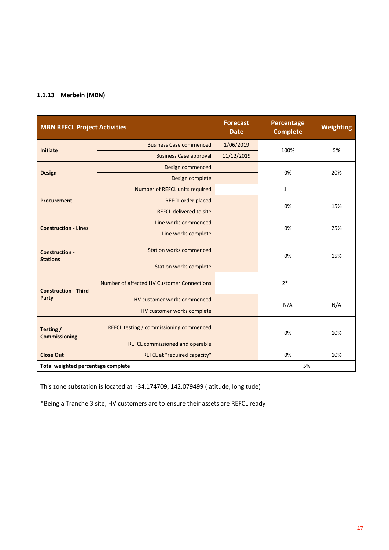#### **1.1.13 Merbein (MBN)**

| <b>MBN REFCL Project Activities</b>      |                                            | <b>Forecast</b><br><b>Date</b> | Percentage<br><b>Complete</b> | Weighting |  |
|------------------------------------------|--------------------------------------------|--------------------------------|-------------------------------|-----------|--|
|                                          | <b>Business Case commenced</b>             | 1/06/2019                      |                               |           |  |
| <b>Initiate</b>                          | <b>Business Case approval</b>              | 11/12/2019                     | 100%                          | 5%        |  |
|                                          | Design commenced                           |                                | 0%                            | 20%       |  |
| <b>Design</b>                            | Design complete                            |                                |                               |           |  |
|                                          | Number of REFCL units required             |                                | 1                             |           |  |
| <b>Procurement</b>                       | REFCL order placed                         |                                | 0%                            |           |  |
|                                          | <b>REFCL delivered to site</b>             |                                |                               | 15%       |  |
| <b>Construction - Lines</b>              | Line works commenced                       |                                | 0%                            | 25%       |  |
|                                          | Line works complete                        |                                |                               |           |  |
| <b>Construction -</b><br><b>Stations</b> | <b>Station works commenced</b>             |                                | 0%                            | 15%       |  |
|                                          | <b>Station works complete</b>              |                                |                               |           |  |
| <b>Construction - Third</b>              | Number of affected HV Customer Connections |                                | $2*$                          |           |  |
| Party                                    | HV customer works commenced                |                                | N/A                           | N/A       |  |
|                                          | HV customer works complete                 |                                |                               |           |  |
| Testing /<br><b>Commissioning</b>        | REFCL testing / commissioning commenced    |                                | 0%                            | 10%       |  |
|                                          | REFCL commissioned and operable            |                                |                               |           |  |
| <b>Close Out</b>                         | REFCL at "required capacity"               | 0%<br>10%                      |                               |           |  |
| Total weighted percentage complete       |                                            |                                | 5%                            |           |  |

This zone substation is located at -34.174709, 142.079499 (latitude, longitude)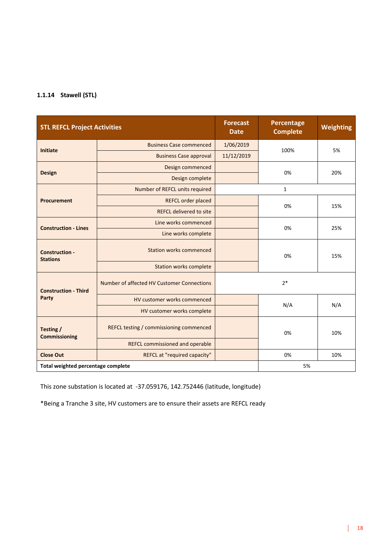#### **1.1.14 Stawell (STL)**

| <b>STL REFCL Project Activities</b>      |                                            | <b>Forecast</b><br><b>Date</b> | Percentage<br><b>Complete</b> | Weighting |  |
|------------------------------------------|--------------------------------------------|--------------------------------|-------------------------------|-----------|--|
| <b>Initiate</b>                          | <b>Business Case commenced</b>             | 1/06/2019                      | 100%                          | 5%        |  |
|                                          | <b>Business Case approval</b>              | 11/12/2019                     |                               |           |  |
| <b>Design</b>                            | Design commenced                           |                                | 0%                            | 20%       |  |
|                                          | Design complete                            |                                |                               |           |  |
|                                          | Number of REFCL units required             |                                | 1                             |           |  |
| <b>Procurement</b>                       | REFCL order placed                         |                                | 0%                            | 15%       |  |
|                                          | <b>REFCL delivered to site</b>             |                                |                               |           |  |
| <b>Construction - Lines</b>              | Line works commenced                       |                                | 0%                            | 25%       |  |
|                                          | Line works complete                        |                                |                               |           |  |
| <b>Construction -</b><br><b>Stations</b> | <b>Station works commenced</b>             |                                | 0%                            | 15%       |  |
|                                          | <b>Station works complete</b>              |                                |                               |           |  |
| <b>Construction - Third</b>              | Number of affected HV Customer Connections |                                | $2*$                          |           |  |
| <b>Party</b>                             | HV customer works commenced                |                                | N/A                           | N/A       |  |
|                                          | HV customer works complete                 |                                |                               |           |  |
| Testing /<br><b>Commissioning</b>        | REFCL testing / commissioning commenced    |                                | 0%                            | 10%       |  |
|                                          | REFCL commissioned and operable            |                                |                               |           |  |
| <b>Close Out</b>                         | REFCL at "required capacity"               | 0%<br>10%                      |                               |           |  |
| Total weighted percentage complete       |                                            |                                | 5%                            |           |  |

This zone substation is located at -37.059176, 142.752446 (latitude, longitude)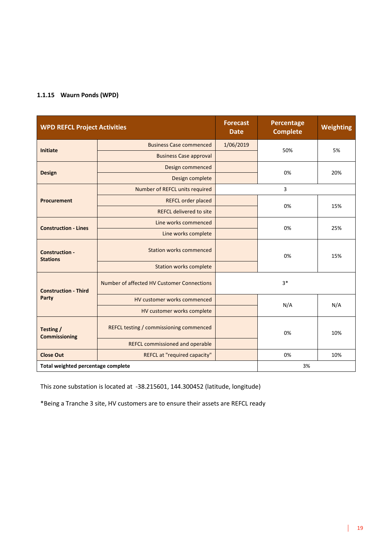#### **1.1.15 Waurn Ponds (WPD)**

| <b>WPD REFCL Project Activities</b>      |                                            | <b>Forecast</b><br><b>Date</b> | Percentage<br><b>Complete</b> | Weighting |  |
|------------------------------------------|--------------------------------------------|--------------------------------|-------------------------------|-----------|--|
| <b>Initiate</b>                          | <b>Business Case commenced</b>             | 1/06/2019<br>50%               |                               | 5%        |  |
|                                          | <b>Business Case approval</b>              |                                |                               |           |  |
| <b>Design</b>                            | Design commenced                           |                                | 0%                            | 20%       |  |
|                                          | Design complete                            |                                |                               |           |  |
|                                          | Number of REFCL units required             |                                | 3                             |           |  |
| <b>Procurement</b>                       | <b>REFCL order placed</b>                  |                                | 0%                            | 15%       |  |
|                                          | <b>REFCL delivered to site</b>             |                                |                               |           |  |
| <b>Construction - Lines</b>              | Line works commenced                       |                                | 0%                            | 25%       |  |
|                                          | Line works complete                        |                                |                               |           |  |
| <b>Construction -</b><br><b>Stations</b> | <b>Station works commenced</b>             |                                | 0%                            | 15%       |  |
|                                          | <b>Station works complete</b>              |                                |                               |           |  |
| <b>Construction - Third</b>              | Number of affected HV Customer Connections |                                | $3*$                          |           |  |
| Party                                    | HV customer works commenced                |                                | N/A                           | N/A       |  |
|                                          | HV customer works complete                 |                                |                               |           |  |
| Testing /<br><b>Commissioning</b>        | REFCL testing / commissioning commenced    |                                | 0%                            | 10%       |  |
|                                          | <b>REFCL commissioned and operable</b>     |                                |                               |           |  |
| <b>Close Out</b>                         | REFCL at "required capacity"               | 0%<br>10%                      |                               |           |  |
| Total weighted percentage complete       |                                            |                                | 3%                            |           |  |

This zone substation is located at -38.215601, 144.300452 (latitude, longitude)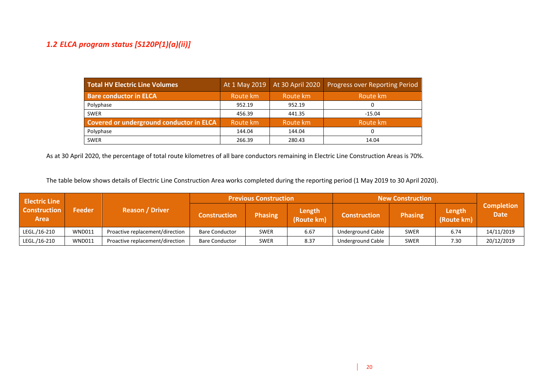#### *1.2 ELCA program status [S120P(1)(a)(ii)]*

| <b>Total HV Electric Line Volumes</b>    |          | At 1 May 2019 At 30 April 2020 | <b>Progress over Reporting Period</b> |
|------------------------------------------|----------|--------------------------------|---------------------------------------|
| <b>Bare conductor in ELCA</b>            | Route km | Route km                       | Route km                              |
| Polyphase                                | 952.19   | 952.19                         |                                       |
| <b>SWER</b>                              | 456.39   | 441.35                         | $-15.04$                              |
| Covered or underground conductor in ELCA | Route km | Route km                       | Route km                              |
| Polyphase                                | 144.04   | 144.04                         |                                       |
| <b>SWER</b>                              | 266.39   | 280.43                         | 14.04                                 |

As at 30 April 2020, the percentage of total route kilometres of all bare conductors remaining in Electric Line Construction Areas is 70%.

The table below shows details of Electric Line Construction Area works completed during the reporting period (1 May 2019 to 30 April 2020).

| <b>Electric Line</b>               |               | <b>Previous Construction</b>    |                       | <b>New Construction</b> |                      |                          |                |                      |                                  |
|------------------------------------|---------------|---------------------------------|-----------------------|-------------------------|----------------------|--------------------------|----------------|----------------------|----------------------------------|
| <b>Construction</b><br><b>Area</b> | <b>Feeder</b> | <b>Reason / Driver</b>          | <b>Construction</b>   | <b>Phasing</b>          | Length<br>(Route km) | <b>Construction</b>      | <b>Phasing</b> | Length<br>(Route km) | <b>Completion</b><br><b>Date</b> |
| LEGL./16-210                       | <b>WND011</b> | Proactive replacement/direction | <b>Bare Conductor</b> | <b>SWER</b>             | 6.67                 | <b>Underground Cable</b> | <b>SWER</b>    | 6.74                 | 14/11/2019                       |
| LEGL./16-210                       | <b>WND011</b> | Proactive replacement/direction | <b>Bare Conductor</b> | <b>SWER</b>             | 8.37                 | <b>Underground Cable</b> | <b>SWER</b>    | 7.30                 | 20/12/2019                       |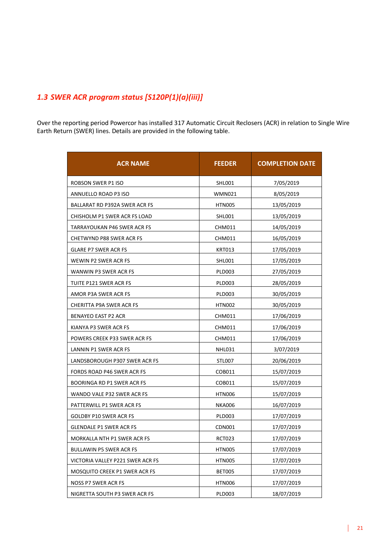#### *1.3 SWER ACR program status [S120P(1)(a)(iii)]*

Over the reporting period Powercor has installed 317 Automatic Circuit Reclosers (ACR) in relation to Single Wire Earth Return (SWER) lines. Details are provided in the following table.

| <b>ACR NAME</b>                  | <b>FEEDER</b> | <b>COMPLETION DATE</b> |
|----------------------------------|---------------|------------------------|
| ROBSON SWER P1 ISO               | SHL001        | 7/05/2019              |
| ANNUELLO ROAD P3 ISO             | <b>WMN021</b> | 8/05/2019              |
| BALLARAT RD P392A SWER ACR FS    | <b>HTN005</b> | 13/05/2019             |
| CHISHOLM P1 SWER ACR FS LOAD     | SHL001        | 13/05/2019             |
| TARRAYOUKAN P46 SWER ACR FS      | <b>CHM011</b> | 14/05/2019             |
| <b>CHETWYND P88 SWER ACR FS</b>  | <b>CHM011</b> | 16/05/2019             |
| <b>GLARE P7 SWER ACR FS</b>      | KRT013        | 17/05/2019             |
| WEWIN P2 SWER ACR FS             | SHL001        | 17/05/2019             |
| WANWIN P3 SWER ACR FS            | <b>PLD003</b> | 27/05/2019             |
| TUITE P121 SWER ACR FS           | <b>PLD003</b> | 28/05/2019             |
| AMOR P3A SWER ACR FS             | <b>PLD003</b> | 30/05/2019             |
| CHERITTA P9A SWER ACR FS         | HTN002        | 30/05/2019             |
| BENAYEO EAST P2 ACR              | <b>CHM011</b> | 17/06/2019             |
| KIANYA P3 SWER ACR FS            | CHM011        | 17/06/2019             |
| POWERS CREEK P33 SWER ACR FS     | <b>CHM011</b> | 17/06/2019             |
| LANNIN P1 SWER ACR FS            | <b>NHL031</b> | 3/07/2019              |
| LANDSBOROUGH P307 SWER ACR FS    | STL007        | 20/06/2019             |
| FORDS ROAD P46 SWER ACR FS       | COB011        | 15/07/2019             |
| BOORINGA RD P1 SWER ACR FS       | COB011        | 15/07/2019             |
| WANDO VALE P32 SWER ACR FS       | HTN006        | 15/07/2019             |
| PATTERWILL P1 SWER ACR FS        | <b>NKA006</b> | 16/07/2019             |
| GOLDBY P10 SWER ACR FS           | <b>PLD003</b> | 17/07/2019             |
| <b>GLENDALE P1 SWER ACR FS</b>   | CDN001        | 17/07/2019             |
| MORKALLA NTH P1 SWER ACR FS      | <b>RCT023</b> | 17/07/2019             |
| <b>BULLAWIN P5 SWER ACR FS</b>   | <b>HTN005</b> | 17/07/2019             |
| VICTORIA VALLEY P221 SWER ACR FS | <b>HTN005</b> | 17/07/2019             |
| MOSQUITO CREEK P1 SWER ACR FS    | <b>BET005</b> | 17/07/2019             |
| <b>NOSS P7 SWER ACR FS</b>       | <b>HTN006</b> | 17/07/2019             |
| NIGRETTA SOUTH P3 SWER ACR FS    | <b>PLD003</b> | 18/07/2019             |

 $\mathbf{I}$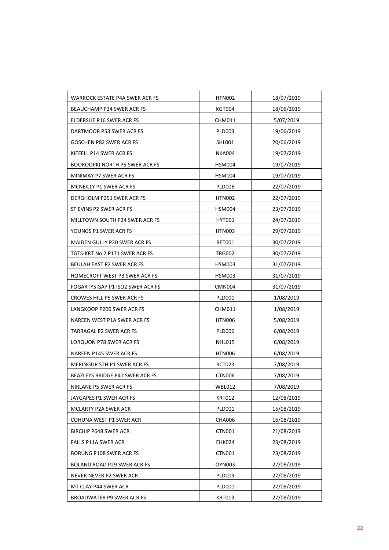| WARROCK ESTATE P4A SWER ACR FS   | <b>HTN002</b> | 18/07/2019 |
|----------------------------------|---------------|------------|
| BEAUCHAMP P24 SWER ACR FS        | <b>KGT004</b> | 18/06/2019 |
| ELDERSLIE P16 SWER ACR FS        | CHM011        | 5/07/2019  |
| DARTMOOR P53 SWER ACR FS         | <b>PLD003</b> | 19/06/2019 |
| GOSCHEN P82 SWER ACR FS          | <b>SHL001</b> | 20/06/2019 |
| KIEFELL P14 SWER ACR FS          | <b>NKA004</b> | 19/07/2019 |
| BOOROOPKI NORTH P5 SWER ACR FS   | HSM004        | 19/07/2019 |
| MINIMAY P7 SWER ACR FS           | <b>HSM004</b> | 19/07/2019 |
| MCNEILLY P1 SWER ACR FS          | <b>PLD006</b> | 22/07/2019 |
| DERGHOLM P251 SWER ACR FS        | <b>HTN002</b> | 22/07/2019 |
| ST EVINS P2 SWER ACR FS          | <b>HSM004</b> | 23/07/2019 |
| MILLTOWN SOUTH P24 SWER ACR FS   | HYT001        | 24/07/2019 |
| YOUNGS P1 SWER ACR FS            | HTN003        | 29/07/2019 |
| MAIDEN GULLY P20 SWER ACR FS     | BET001        | 30/07/2019 |
| TGTS-KRT No 2 P171 SWER ACR FS   | <b>TRG002</b> | 30/07/2019 |
| BEULAH EAST P2 SWER ACR FS       | <b>HSM003</b> | 31/07/2019 |
| HOMECROFT WEST P3 SWER ACR FS    | HSM003        | 31/07/2019 |
| FOGARTYS GAP P1 ISO2 SWER ACR FS | CMN004        | 31/07/2019 |
| CROWES HILL P5 SWER ACR FS       | PLD001        | 1/08/2019  |
| LANGKOOP P200 SWER ACR FS        | CHM011        | 1/08/2019  |
| NAREEN WEST P1A SWER ACR FS      | <b>HTN006</b> | 5/08/2019  |
| TARRAGAL P2 SWER ACR FS          | PLD006        | 6/08/2019  |
| LORQUON P78 SWER ACR FS          | <b>NHL015</b> | 6/08/2019  |
| NAREEN P145 SWER ACR FS          | <b>HTN006</b> | 6/08/2019  |
| MERINGUR STH P1 SWER ACR FS      | <b>RCT023</b> | 7/08/2019  |
| BEAZLEYS BRIDGE P41 SWER ACR FS  | <b>CTN006</b> | 7/08/2019  |
| NIRLANE P5 SWER ACR FS           | <b>WBL012</b> | 7/08/2019  |
| JAYGAPES P1 SWER ACR FS          | <b>KRT012</b> | 12/08/2019 |
| MCLARTY P2A SWER ACR             | <b>PLD001</b> | 15/08/2019 |
| COHUNA WEST P1 SWER ACR          | <b>CHA006</b> | 16/08/2019 |
| <b>BIRCHIP P648 SWER ACR</b>     | <b>CTN001</b> | 21/08/2019 |
| FALLS P11A SWER ACR              | <b>EHK024</b> | 23/08/2019 |
| BORUNG P108 SWER ACR FS          | CTN001        | 23/08/2019 |
| BOLAND ROAD P29 SWER ACR FS      | <b>OYN003</b> | 27/08/2019 |
| NEVER NEVER P2 SWER ACR          | <b>PLD003</b> | 27/08/2019 |
| MT CLAY P44 SWER ACR             | PLD001        | 27/08/2019 |
| BROADWATER P9 SWER ACR FS        | <b>KRT013</b> | 27/08/2019 |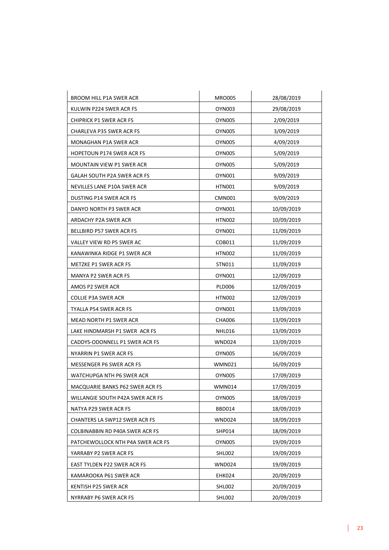| BROOM HILL P1A SWER ACR              | <b>MRO005</b> | 28/08/2019 |
|--------------------------------------|---------------|------------|
| KULWIN P224 SWER ACR FS              | OYN003        | 29/08/2019 |
| <b>CHIPRICK P1 SWER ACR FS</b>       | OYN005        | 2/09/2019  |
| CHARLEVA P35 SWER ACR FS             | <b>OYN005</b> | 3/09/2019  |
| MONAGHAN P1A SWER ACR                | OYN005        | 4/09/2019  |
| HOPETOUN P174 SWER ACR FS            | OYN005        | 5/09/2019  |
| MOUNTAIN VIEW P1 SWER ACR            | OYN005        | 5/09/2019  |
| GALAH SOUTH P2A SWER ACR FS          | OYN001        | 9/09/2019  |
| NEVILLES LANE P10A SWER ACR          | <b>HTN001</b> | 9/09/2019  |
| DUSTING P14 SWER ACR FS              | CMN001        | 9/09/2019  |
| DANYO NORTH P3 SWER ACR              | OYN001        | 10/09/2019 |
| ARDACHY P2A SWER ACR                 | HTN002        | 10/09/2019 |
| BELLBIRD P57 SWER ACR FS             | OYN001        | 11/09/2019 |
| VALLEY VIEW RD P5 SWER AC            | COB011        | 11/09/2019 |
| KANAWINKA RIDGE P1 SWER ACR          | <b>HTN002</b> | 11/09/2019 |
| <b>METZKE P1 SWER ACR FS</b>         | STN011        | 11/09/2019 |
| <b>MANYA P2 SWER ACR FS</b>          | OYN001        | 12/09/2019 |
| AMOS P2 SWER ACR                     | <b>PLD006</b> | 12/09/2019 |
| COLLIE P3A SWER ACR                  | HTN002        | 12/09/2019 |
| TYALLA P54 SWER ACR FS               | OYN001        | 13/09/2019 |
| MEAD NORTH P1 SWER ACR               | <b>CHA006</b> | 13/09/2019 |
| LAKE HINDMARSH P1 SWER ACR FS        | NHL016        | 13/09/2019 |
| CADDYS-ODONNELL P1 SWER ACR FS       | WND024        | 13/09/2019 |
| NYARRIN P1 SWER ACR FS               | OYN005        | 16/09/2019 |
| MESSENGER P6 SWER ACR FS             | <b>WMN021</b> | 16/09/2019 |
| WATCHUPGA NTH P6 SWER ACR            | <b>OYN005</b> | 17/09/2019 |
| MACQUARIE BANKS P62 SWER ACR FS      | <b>WMN014</b> | 17/09/2019 |
| WILLANGIE SOUTH P42A SWER ACR FS     | OYN005        | 18/09/2019 |
| NATYA P29 SWER ACR FS                | BBD014        | 18/09/2019 |
| <b>CHANTERS LA SWP12 SWER ACR FS</b> | WND024        | 18/09/2019 |
| COLBINABBIN RD P40A SWER ACR FS      | SHP014        | 18/09/2019 |
| PATCHEWOLLOCK NTH P4A SWER ACR FS    | OYN005        | 19/09/2019 |
| YARRABY P2 SWER ACR FS               | SHL002        | 19/09/2019 |
| EAST TYLDEN P22 SWER ACR FS          | <b>WND024</b> | 19/09/2019 |
| KAMAROOKA P61 SWER ACR               | EHK024        | 20/09/2019 |
| KENTISH P25 SWER ACR                 | SHL002        | 20/09/2019 |
| NYRRABY P6 SWER ACR FS               | <b>SHL002</b> | 20/09/2019 |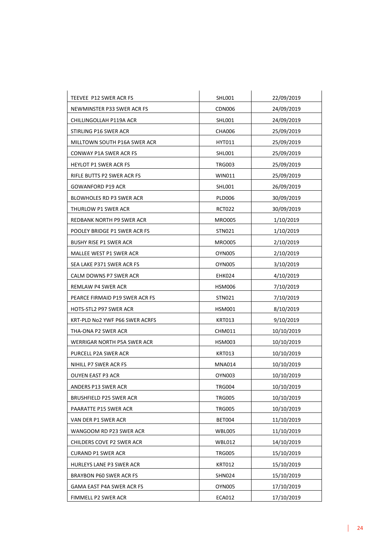| TEEVEE P12 SWER ACR FS          | <b>SHL001</b> | 22/09/2019 |
|---------------------------------|---------------|------------|
| NEWMINSTER P33 SWER ACR FS      | <b>CDN006</b> | 24/09/2019 |
| CHILLINGOLLAH P119A ACR         | SHL001        | 24/09/2019 |
| STIRLING P16 SWER ACR           | CHA006        | 25/09/2019 |
| MILLTOWN SOUTH P16A SWER ACR    | HYT011        | 25/09/2019 |
| CONWAY P1A SWER ACR FS          | <b>SHL001</b> | 25/09/2019 |
| HEYLOT P1 SWER ACR FS           | <b>TRG003</b> | 25/09/2019 |
| RIFLE BUTTS P2 SWER ACR FS      | <b>WIN011</b> | 25/09/2019 |
| GOWANFORD P19 ACR               | SHL001        | 26/09/2019 |
| BLOWHOLES RD P3 SWER ACR        | PLD006        | 30/09/2019 |
| THURLOW P1 SWER ACR             | <b>RCT022</b> | 30/09/2019 |
| REDBANK NORTH P9 SWER ACR       | <b>MRO005</b> | 1/10/2019  |
| POOLEY BRIDGE P1 SWER ACR FS    | STN021        | 1/10/2019  |
| <b>BUSHY RISE P1 SWER ACR</b>   | <b>MRO005</b> | 2/10/2019  |
| MALLEE WEST P1 SWER ACR         | <b>OYN005</b> | 2/10/2019  |
| SEA LAKE P371 SWER ACR FS       | <b>OYN005</b> | 3/10/2019  |
| CALM DOWNS P7 SWER ACR          | EHK024        | 4/10/2019  |
| REMLAW P4 SWER ACR              | HSM006        | 7/10/2019  |
| PEARCE FIRMAID P19 SWER ACR FS  | STN021        | 7/10/2019  |
| HOTS-STL2 P97 SWER ACR          | <b>HSM001</b> | 8/10/2019  |
| KRT-PLD No2 YWF P66 SWER ACRFS  | <b>KRT013</b> | 9/10/2019  |
| THA-ONA P2 SWER ACR             | CHM011        | 10/10/2019 |
| WERRIGAR NORTH P5A SWER ACR     | <b>HSM003</b> | 10/10/2019 |
| PURCELL P2A SWER ACR            | <b>KRT013</b> | 10/10/2019 |
| NIHILL P7 SWER ACR FS           | <b>MNA014</b> | 10/10/2019 |
| OUYEN EAST P3 ACR               | OYN003        | 10/10/2019 |
| ANDERS P13 SWER ACR             | <b>TRG004</b> | 10/10/2019 |
| BRUSHFIELD P25 SWER ACR         | <b>TRG005</b> | 10/10/2019 |
| PAARATTE P15 SWER ACR           | <b>TRG005</b> | 10/10/2019 |
| VAN DER P1 SWER ACR             | <b>BET004</b> | 11/10/2019 |
| WANGOOM RD P23 SWER ACR         | WBL005        | 11/10/2019 |
| CHILDERS COVE P2 SWER ACR       | <b>WBL012</b> | 14/10/2019 |
| <b>CURAND P1 SWER ACR</b>       | <b>TRG005</b> | 15/10/2019 |
| <b>HURLEYS LANE P3 SWER ACR</b> | <b>KRT012</b> | 15/10/2019 |
| BRAYBON P60 SWER ACR FS         | <b>SHN024</b> | 15/10/2019 |
| GAMA EAST P4A SWER ACR FS       | <b>OYN005</b> | 17/10/2019 |
| FIMMELL P2 SWER ACR             | <b>ECA012</b> | 17/10/2019 |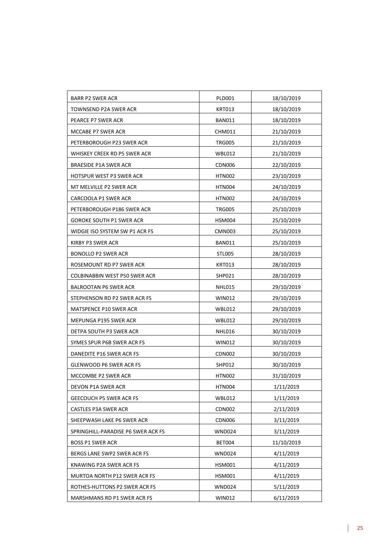| BARR P2 SWER ACR                   | <b>PLD001</b> | 18/10/2019 |
|------------------------------------|---------------|------------|
| TOWNSEND P2A SWER ACR              | KRT013        | 18/10/2019 |
| PEARCE P7 SWER ACR                 | <b>BAN011</b> | 18/10/2019 |
| MCCABE P7 SWER ACR                 | <b>CHM011</b> | 21/10/2019 |
| PETERBOROUGH P23 SWER ACR          | <b>TRG005</b> | 21/10/2019 |
| WHISKEY CREEK RD P5 SWER ACR       | WBL012        | 21/10/2019 |
| BRAESIDE P1A SWER ACR              | CDN006        | 22/10/2019 |
| HOTSPUR WEST P3 SWER ACR           | HTN002        | 23/10/2019 |
| MT MELVILLE P2 SWER ACR            | HTN004        | 24/10/2019 |
| CARCOOLA P1 SWER ACR               | <b>HTN002</b> | 24/10/2019 |
| PETERBOROUGH P186 SWER ACR         | <b>TRG005</b> | 25/10/2019 |
| GOROKE SOUTH P1 SWER ACR           | HSM004        | 25/10/2019 |
| WIDGIE ISO SYSTEM SW P1 ACR FS     | CMN003        | 25/10/2019 |
| KIRBY P3 SWER ACR                  | BAN011        | 25/10/2019 |
| BONOLLO P2 SWER ACR                | <b>STL005</b> | 28/10/2019 |
| ROSEMOUNT RD P7 SWER ACR           | <b>KRT013</b> | 28/10/2019 |
| COLBINABBIN WEST P50 SWER ACR      | <b>SHP021</b> | 28/10/2019 |
| <b>BALROOTAN P6 SWER ACR</b>       | NHL015        | 29/10/2019 |
| STEPHENSON RD P2 SWER ACR FS       | WIN012        | 29/10/2019 |
| MATSPENCE P10 SWER ACR             | WBL012        | 29/10/2019 |
| MEPUNGA P195 SWER ACR              | <b>WBL012</b> | 29/10/2019 |
| DETPA SOUTH P3 SWER ACR            | NHL016        | 30/10/2019 |
| SYMES SPUR P6B SWER ACR FS         | <b>WIN012</b> | 30/10/2019 |
| DANEDITE P16 SWER ACR FS           | CDN002        | 30/10/2019 |
| GLENWOOD P6 SWER ACR FS            | <b>SHP012</b> | 30/10/2019 |
| MCCOMBE P2 SWER ACR                | HTN002        | 31/10/2019 |
| DEVON P1A SWER ACR                 | <b>HTN004</b> | 1/11/2019  |
| <b>GEECOUCH P5 SWER ACR FS</b>     | <b>WBL012</b> | 1/11/2019  |
| CASTLES P3A SWER ACR               | <b>CDN002</b> | 2/11/2019  |
| SHEEPWASH LAKE P6 SWER ACR         | <b>CDN006</b> | 3/11/2019  |
| SPRINGHILL-PARADISE P6 SWER ACR FS | <b>WND024</b> | 3/11/2019  |
| <b>BOSS P1 SWER ACR</b>            | BET004        | 11/10/2019 |
| BERGS LANE SWP2 SWER ACR FS        | <b>WND024</b> | 4/11/2019  |
| KNAWING P2A SWER ACR FS            | HSM001        | 4/11/2019  |
| MURTOA NORTH P12 SWER ACR FS       | <b>HSM001</b> | 4/11/2019  |
| ROTHES-HUTTONS P2 SWER ACR FS      | <b>WND024</b> | 5/11/2019  |
| MARSHMANS RD P1 SWER ACR FS        | <b>WIN012</b> | 6/11/2019  |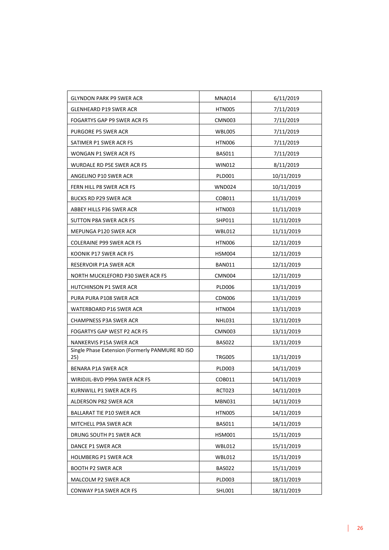| <b>GLYNDON PARK P9 SWER ACR</b>                        | <b>MNA014</b> | 6/11/2019  |
|--------------------------------------------------------|---------------|------------|
| GLENHEARD P19 SWER ACR                                 | <b>HTN005</b> | 7/11/2019  |
| FOGARTYS GAP P9 SWER ACR FS                            | <b>CMN003</b> | 7/11/2019  |
| PURGORE P5 SWER ACR                                    | <b>WBL005</b> | 7/11/2019  |
| SATIMER P1 SWER ACR FS                                 | <b>HTN006</b> | 7/11/2019  |
| WONGAN P1 SWER ACR FS                                  | <b>BAS011</b> | 7/11/2019  |
| WURDALE RD P5E SWER ACR FS                             | <b>WIN012</b> | 8/11/2019  |
| ANGELINO P10 SWER ACR                                  | PLD001        | 10/11/2019 |
| FERN HILL P8 SWER ACR FS                               | <b>WND024</b> | 10/11/2019 |
| <b>BUCKS RD P29 SWER ACR</b>                           | COB011        | 11/11/2019 |
| ABBEY HILLS P36 SWER ACR                               | HTN003        | 11/11/2019 |
| SUTTON P8A SWER ACR FS                                 | SHP011        | 11/11/2019 |
| MEPUNGA P120 SWER ACR                                  | <b>WBL012</b> | 11/11/2019 |
| COLERAINE P99 SWER ACR FS                              | <b>HTN006</b> | 12/11/2019 |
| KOONIK P17 SWER ACR FS                                 | HSM004        | 12/11/2019 |
| RESERVOIR P1A SWER ACR                                 | <b>BAN011</b> | 12/11/2019 |
| NORTH MUCKLEFORD P30 SWER ACR FS                       | <b>CMN004</b> | 12/11/2019 |
| HUTCHINSON P1 SWER ACR                                 | <b>PLD006</b> | 13/11/2019 |
| PURA PURA P108 SWER ACR                                | <b>CDN006</b> | 13/11/2019 |
| WATERBOARD P16 SWER ACR                                | <b>HTN004</b> | 13/11/2019 |
| <b>CHAMPNESS P3A SWER ACR</b>                          | <b>NHL031</b> | 13/11/2019 |
| FOGARTYS GAP WEST P2 ACR FS                            | <b>CMN003</b> | 13/11/2019 |
| NANKERVIS P15A SWER ACR                                | <b>BAS022</b> | 13/11/2019 |
| Single Phase Extension (Formerly PANMURE RD ISO<br>25) | <b>TRG005</b> | 13/11/2019 |
| BENARA P1A SWER ACR                                    | <b>PLD003</b> | 14/11/2019 |
| WIRIDJIL-BVD P99A SWER ACR FS                          | COB011        | 14/11/2019 |
| KURNWILL P1 SWER ACR FS                                | RCT023        | 14/11/2019 |
| ALDERSON P82 SWER ACR                                  | <b>MBN031</b> | 14/11/2019 |
| <b>BALLARAT TIE P10 SWER ACR</b>                       | <b>HTN005</b> | 14/11/2019 |
| MITCHELL P9A SWER ACR                                  | <b>BAS011</b> | 14/11/2019 |
| DRUNG SOUTH P1 SWER ACR                                | <b>HSM001</b> | 15/11/2019 |
| DANCE P1 SWER ACR                                      | <b>WBL012</b> | 15/11/2019 |
| HOLMBERG P1 SWER ACR                                   | <b>WBL012</b> | 15/11/2019 |
| <b>BOOTH P2 SWER ACR</b>                               | <b>BAS022</b> | 15/11/2019 |
| MALCOLM P2 SWER ACR                                    | <b>PLD003</b> | 18/11/2019 |
| CONWAY P1A SWER ACR FS                                 | SHL001        | 18/11/2019 |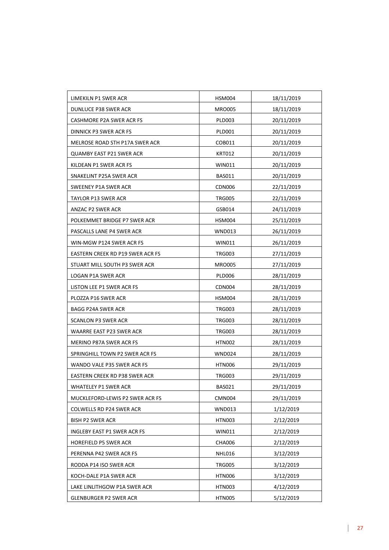| LIMEKILN P1 SWER ACR             | <b>HSM004</b> | 18/11/2019 |
|----------------------------------|---------------|------------|
| DUNLUCE P38 SWER ACR             | <b>MRO005</b> | 18/11/2019 |
| CASHMORE P2A SWER ACR FS         | <b>PLD003</b> | 20/11/2019 |
| DINNICK P3 SWER ACR FS           | PLD001        | 20/11/2019 |
| MELROSE ROAD STH P17A SWER ACR   | COB011        | 20/11/2019 |
| QUAMBY EAST P21 SWER ACR         | <b>KRT012</b> | 20/11/2019 |
| KILDEAN P1 SWER ACR FS           | WIN011        | 20/11/2019 |
| SNAKELINT P25A SWER ACR          | <b>BAS011</b> | 20/11/2019 |
| SWEENEY P1A SWER ACR             | <b>CDN006</b> | 22/11/2019 |
| TAYLOR P13 SWER ACR              | <b>TRG005</b> | 22/11/2019 |
| ANZAC P2 SWER ACR                | GSB014        | 24/11/2019 |
| POLKEMMET BRIDGE P7 SWER ACR     | <b>HSM004</b> | 25/11/2019 |
| PASCALLS LANE P4 SWER ACR        | WND013        | 26/11/2019 |
| WIN-MGW P124 SWER ACR FS         | WIN011        | 26/11/2019 |
| EASTERN CREEK RD P19 SWER ACR FS | <b>TRG003</b> | 27/11/2019 |
| STUART MILL SOUTH P3 SWER ACR    | <b>MRO005</b> | 27/11/2019 |
| LOGAN P1A SWER ACR               | <b>PLD006</b> | 28/11/2019 |
| LISTON LEE P1 SWER ACR FS        | CDN004        | 28/11/2019 |
| PLOZZA P16 SWER ACR              | HSM004        | 28/11/2019 |
| BAGG P24A SWER ACR               | TRG003        | 28/11/2019 |
| SCANLON P3 SWER ACR              | <b>TRG003</b> | 28/11/2019 |
| WAARRE EAST P23 SWER ACR         | <b>TRG003</b> | 28/11/2019 |
| MERINO P87A SWER ACR FS          | HTN002        | 28/11/2019 |
| SPRINGHILL TOWN P2 SWER ACR FS   | WND024        | 28/11/2019 |
| WANDO VALE P35 SWER ACR FS       | HTN006        | 29/11/2019 |
| EASTERN CREEK RD P38 SWER ACR    | <b>TRG003</b> | 29/11/2019 |
| WHATELEY P1 SWER ACR             | <b>BAS021</b> | 29/11/2019 |
| MUCKLEFORD-LEWIS P2 SWER ACR FS  | <b>CMN004</b> | 29/11/2019 |
| <b>COLWELLS RD P24 SWER ACR</b>  | <b>WND013</b> | 1/12/2019  |
| <b>BISH P2 SWER ACR</b>          | <b>HTN003</b> | 2/12/2019  |
| INGLEBY EAST P1 SWER ACR FS      | WIN011        | 2/12/2019  |
| HOREFIELD P5 SWER ACR            | <b>CHA006</b> | 2/12/2019  |
| PERENNA P42 SWER ACR FS          | <b>NHL016</b> | 3/12/2019  |
| RODDA P14 ISO SWER ACR           | <b>TRG005</b> | 3/12/2019  |
| KOCH-DALE P1A SWER ACR           | <b>HTN006</b> | 3/12/2019  |
| LAKE LINLITHGOW P1A SWER ACR     | <b>HTN003</b> | 4/12/2019  |
| GLENBURGER P2 SWER ACR           | <b>HTN005</b> | 5/12/2019  |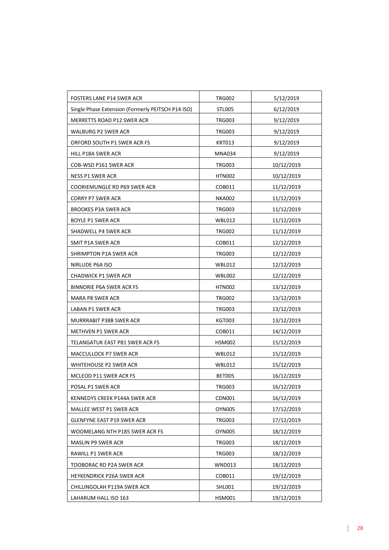| FOSTERS LANE P14 SWER ACR                         | <b>TRG002</b> | 5/12/2019  |
|---------------------------------------------------|---------------|------------|
| Single Phase Extension (Formerly PEITSCH P14 ISO) | <b>STL005</b> | 6/12/2019  |
| MERRETTS ROAD P12 SWER ACR                        | <b>TRG003</b> | 9/12/2019  |
| WALBURG P2 SWER ACR                               | <b>TRG003</b> | 9/12/2019  |
| ORFORD SOUTH P1 SWER ACR FS                       | KRT013        | 9/12/2019  |
| HILL P18A SWER ACR                                | <b>MNA034</b> | 9/12/2019  |
| COB-WSD P161 SWER ACR                             | <b>TRG003</b> | 10/12/2019 |
| <b>NESS P1 SWER ACR</b>                           | <b>HTN002</b> | 10/12/2019 |
| COORIEMUNGLE RD P69 SWER ACR                      | COB011        | 11/12/2019 |
| CORRY P7 SWER ACR                                 | <b>NKA002</b> | 11/12/2019 |
| BROOKES P3A SWER ACR                              | <b>TRG003</b> | 11/12/2019 |
| BOYLE P1 SWER ACR                                 | <b>WBL012</b> | 11/12/2019 |
| SHADWELL P4 SWER ACR                              | <b>TRG002</b> | 11/12/2019 |
| SMIT P1A SWER ACR                                 | COB011        | 12/12/2019 |
| SHRIMPTON P1A SWER ACR                            | <b>TRG003</b> | 12/12/2019 |
| NIRLUDE P6A ISO                                   | <b>WBL012</b> | 12/12/2019 |
| CHADWICK P1 SWER ACR                              | <b>WBL002</b> | 12/12/2019 |
| BINNORIE P6A SWER ACR FS                          | <b>HTN002</b> | 13/12/2019 |
| MARA P8 SWER ACR                                  | <b>TRG002</b> | 13/12/2019 |
| LABAN P1 SWER ACR                                 | <b>TRG003</b> | 13/12/2019 |
| MURRRABIT P38B SWER ACR                           | <b>KGT003</b> | 13/12/2019 |
| METHVEN P1 SWER ACR                               | COB011        | 14/12/2019 |
| TELANGATUK EAST P81 SWER ACR FS                   | <b>HSM002</b> | 15/12/2019 |
| MACCULLOCK P7 SWER ACR                            | <b>WBL012</b> | 15/12/2019 |
| WHITEHOUSE P2 SWER ACR                            | <b>WBL012</b> | 15/12/2019 |
| MCLEOD P11 SWER ACR FS                            | <b>BET005</b> | 16/12/2019 |
| POSAL P1 SWER ACR                                 | <b>TRG003</b> | 16/12/2019 |
| KENNEDYS CREEK P144A SWER ACR                     | CDN001        | 16/12/2019 |
| MALLEE WEST P1 SWER ACR                           | <b>OYN005</b> | 17/12/2019 |
| GLENFYNE EAST P19 SWER ACR                        | <b>TRG003</b> | 17/12/2019 |
| WOOMELANG NTH P185 SWER ACR FS                    | <b>OYN005</b> | 18/12/2019 |
| MASLIN P9 SWER ACR                                | <b>TRG003</b> | 18/12/2019 |
| RAWILL P1 SWER ACR                                | <b>TRG003</b> | 18/12/2019 |
| TOOBORAC RD P2A SWER ACR                          | <b>WND013</b> | 18/12/2019 |
| HEYKENDRICK P26A SWER ACR                         | COB011        | 19/12/2019 |
| CHILLINGOLAH P119A SWER ACR                       | SHL001        | 19/12/2019 |
| LAHARUM HALL ISO 163                              | <b>HSM001</b> | 19/12/2019 |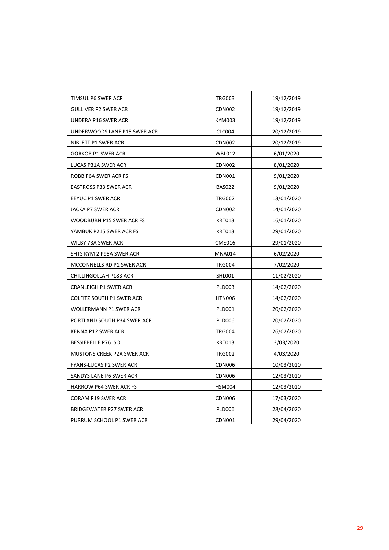| TIMSUL P6 SWER ACR           | <b>TRG003</b> | 19/12/2019 |
|------------------------------|---------------|------------|
| <b>GULLIVER P2 SWER ACR</b>  | CDN002        | 19/12/2019 |
| UNDERA P16 SWER ACR          | KYM003        | 19/12/2019 |
| UNDERWOODS LANE P15 SWER ACR | CLC004        | 20/12/2019 |
| NIBLETT P1 SWER ACR          | <b>CDN002</b> | 20/12/2019 |
| <b>GORKOR P1 SWER ACR</b>    | <b>WBL012</b> | 6/01/2020  |
| LUCAS P31A SWER ACR          | <b>CDN002</b> | 8/01/2020  |
| ROBB P6A SWER ACR FS         | CDN001        | 9/01/2020  |
| <b>EASTROSS P33 SWER ACR</b> | <b>BAS022</b> | 9/01/2020  |
| EEYUC P1 SWER ACR            | <b>TRG002</b> | 13/01/2020 |
| JACKA P7 SWER ACR            | <b>CDN002</b> | 14/01/2020 |
| WOODBURN P15 SWER ACR FS     | <b>KRT013</b> | 16/01/2020 |
| YAMBUK P215 SWER ACR FS      | <b>KRT013</b> | 29/01/2020 |
| WILBY 73A SWER ACR           | <b>CME016</b> | 29/01/2020 |
| SHTS KYM 2 P95A SWER ACR     | <b>MNA014</b> | 6/02/2020  |
| MCCONNELLS RD P1 SWER ACR    | <b>TRG004</b> | 7/02/2020  |
| CHILLINGOLLAH P183 ACR       | SHL001        | 11/02/2020 |
| CRANLEIGH P1 SWER ACR        | <b>PLD003</b> | 14/02/2020 |
| COLFITZ SOUTH P1 SWER ACR    | <b>HTN006</b> | 14/02/2020 |
| WOLLERMANN P1 SWER ACR       | <b>PLD001</b> | 20/02/2020 |
| PORTLAND SOUTH P34 SWER ACR  | <b>PLD006</b> | 20/02/2020 |
| KENNA P12 SWER ACR           | <b>TRG004</b> | 26/02/2020 |
| BESSIEBELLE P76 ISO          | <b>KRT013</b> | 3/03/2020  |
| MUSTONS CREEK P2A SWER ACR   | <b>TRG002</b> | 4/03/2020  |
| FYANS-LUCAS P2 SWER ACR      | CDN006        | 10/03/2020 |
| SANDYS LANE P6 SWER ACR      | <b>CDN006</b> | 12/03/2020 |
| HARROW P64 SWER ACR FS       | <b>HSM004</b> | 12/03/2020 |
| CORAM P19 SWER ACR           | <b>CDN006</b> | 17/03/2020 |
| BRIDGEWATER P27 SWER ACR     | <b>PLD006</b> | 28/04/2020 |
| PURRUM SCHOOL P1 SWER ACR    | CDN001        | 29/04/2020 |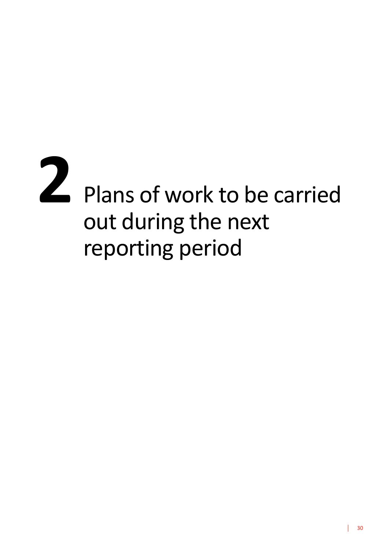# 2 Plans of work to be carried out during the next reporting period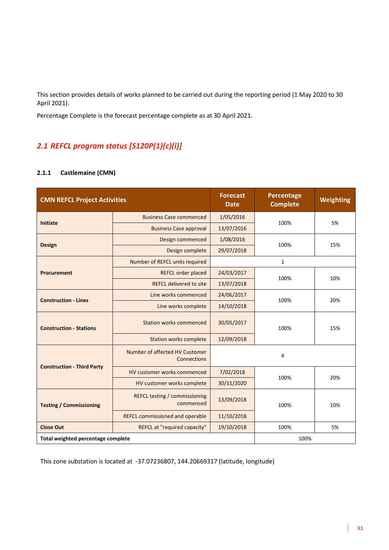This section provides details of works planned to be carried out during the reporting period (1 May 2020 to 30 April 2021).

Percentage Complete is the forecast percentage complete as at 30 April 2021.

#### *2.1 REFCL program status [S120P(1)(c)(i)]*

#### **2.1.1 Castlemaine (CMN)**

| <b>CMN REFCL Project Activities</b> |                                                   | <b>Forecast</b><br><b>Date</b> | <b>Percentage</b><br><b>Complete</b> | Weighting |
|-------------------------------------|---------------------------------------------------|--------------------------------|--------------------------------------|-----------|
| <b>Initiate</b>                     | <b>Business Case commenced</b>                    | 1/05/2016                      | 100%                                 |           |
|                                     | <b>Business Case approval</b>                     | 13/07/2016                     |                                      | 5%        |
| <b>Design</b>                       | Design commenced                                  | 1/08/2016                      | 100%                                 | 15%       |
|                                     | Design complete                                   | 29/07/2018                     |                                      |           |
|                                     | Number of REFCL units required                    |                                | 1                                    |           |
| <b>Procurement</b>                  | REFCL order placed                                | 24/03/2017                     | 100%                                 | 10%       |
|                                     | <b>REFCL delivered to site</b>                    | 13/07/2018                     |                                      |           |
| <b>Construction - Lines</b>         | Line works commenced                              | 24/06/2017                     | 100%                                 | 20%       |
|                                     | Line works complete                               | 14/10/2018                     |                                      |           |
| <b>Construction - Stations</b>      | <b>Station works commenced</b>                    | 30/05/2017                     | 100%                                 | 15%       |
|                                     | <b>Station works complete</b>                     | 12/09/2018                     |                                      |           |
| <b>Construction - Third Party</b>   | Number of affected HV Customer<br>Connections     |                                | 4                                    |           |
|                                     | HV customer works commenced                       | 7/02/2018                      | 100%                                 | 20%       |
|                                     | HV customer works complete                        | 30/11/2020                     |                                      |           |
| <b>Testing / Commissioning</b>      | <b>REFCL testing / commissioning</b><br>commenced | 13/09/2018                     | 100%                                 | 10%       |
|                                     | <b>REFCL commissioned and operable</b>            | 11/10/2018                     |                                      |           |
| <b>Close Out</b>                    | REFCL at "required capacity"                      | 19/10/2018                     | 100%                                 | 5%        |
| Total weighted percentage complete  |                                                   |                                | 100%                                 |           |

This zone substation is located at -37.07236807, 144.20669317 (latitude, longitude)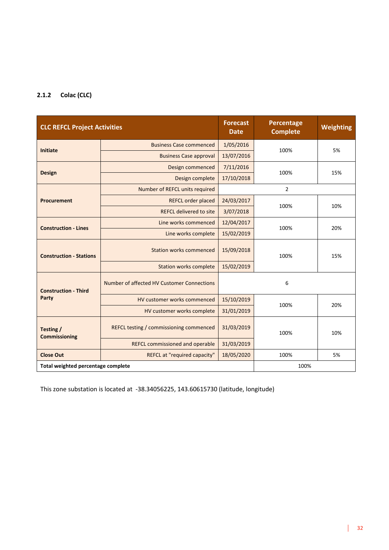#### **2.1.2 Colac (CLC)**

| <b>CLC REFCL Project Activities</b> |                                            | <b>Forecast</b><br><b>Date</b> | Percentage<br><b>Complete</b> | Weighting |
|-------------------------------------|--------------------------------------------|--------------------------------|-------------------------------|-----------|
| <b>Initiate</b>                     | <b>Business Case commenced</b>             | 1/05/2016                      | 100%                          | 5%        |
|                                     | <b>Business Case approval</b>              | 13/07/2016                     |                               |           |
| <b>Design</b>                       | Design commenced                           | 7/11/2016                      | 100%                          | 15%       |
|                                     | Design complete                            | 17/10/2018                     |                               |           |
|                                     | Number of REFCL units required             |                                | $\overline{2}$                |           |
| <b>Procurement</b>                  | <b>REFCL order placed</b>                  | 24/03/2017                     | 100%                          | 10%       |
|                                     | <b>REFCL delivered to site</b>             | 3/07/2018                      |                               |           |
| <b>Construction - Lines</b>         | Line works commenced                       | 12/04/2017                     | 100%                          | 20%       |
|                                     | Line works complete                        | 15/02/2019                     |                               |           |
| <b>Construction - Stations</b>      | <b>Station works commenced</b>             | 15/09/2018                     | 100%                          | 15%       |
|                                     | <b>Station works complete</b>              | 15/02/2019                     |                               |           |
| <b>Construction - Third</b>         | Number of affected HV Customer Connections |                                | 6                             |           |
| Party                               | HV customer works commenced                | 15/10/2019                     | 100%                          |           |
|                                     | HV customer works complete                 | 31/01/2019                     |                               | 20%       |
| Testing /<br><b>Commissioning</b>   | REFCL testing / commissioning commenced    | 31/03/2019                     | 100%                          | 10%       |
|                                     | <b>REFCL commissioned and operable</b>     | 31/03/2019                     |                               |           |
| <b>Close Out</b>                    | REFCL at "required capacity"               | 18/05/2020                     | 100%                          | 5%        |
| Total weighted percentage complete  |                                            |                                | 100%                          |           |

This zone substation is located at -38.34056225, 143.60615730 (latitude, longitude)

 $\overline{1}$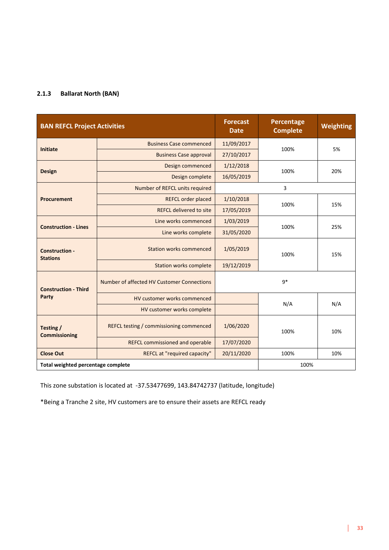#### **2.1.3 Ballarat North (BAN)**

| <b>BAN REFCL Project Activities</b>      |                                                | <b>Forecast</b><br><b>Date</b> | Percentage<br><b>Complete</b> | <b>Weighting</b> |
|------------------------------------------|------------------------------------------------|--------------------------------|-------------------------------|------------------|
| <b>Initiate</b>                          | <b>Business Case commenced</b>                 | 11/09/2017                     | 100%                          | 5%               |
|                                          | <b>Business Case approval</b>                  | 27/10/2017                     |                               |                  |
|                                          | Design commenced                               | 1/12/2018                      | 100%                          | 20%              |
| <b>Design</b>                            | Design complete                                | 16/05/2019                     |                               |                  |
|                                          | Number of REFCL units required                 |                                | 3                             |                  |
| <b>Procurement</b>                       | <b>REFCL order placed</b>                      | 1/10/2018                      | 100%                          | 15%              |
|                                          | <b>REFCL delivered to site</b>                 | 17/05/2019                     |                               |                  |
| <b>Construction - Lines</b>              | Line works commenced                           | 1/03/2019                      | 100%                          | 25%              |
|                                          | Line works complete                            | 31/05/2020                     |                               |                  |
| <b>Construction -</b><br><b>Stations</b> | <b>Station works commenced</b>                 | 1/05/2019                      | 100%                          | 15%              |
|                                          | <b>Station works complete</b>                  | 19/12/2019                     |                               |                  |
| <b>Construction - Third</b>              | Number of affected HV Customer Connections     |                                | $q*$                          |                  |
| Party                                    | HV customer works commenced                    |                                | N/A                           |                  |
|                                          | HV customer works complete                     |                                |                               | N/A              |
| Testing /<br><b>Commissioning</b>        | <b>REFCL testing / commissioning commenced</b> | 1/06/2020                      | 100%                          | 10%              |
|                                          | <b>REFCL commissioned and operable</b>         | 17/07/2020                     |                               |                  |
| <b>Close Out</b>                         | REFCL at "required capacity"                   | 20/11/2020                     | 100%                          | 10%              |
| Total weighted percentage complete       |                                                |                                | 100%                          |                  |

This zone substation is located at -37.53477699, 143.84742737 (latitude, longitude)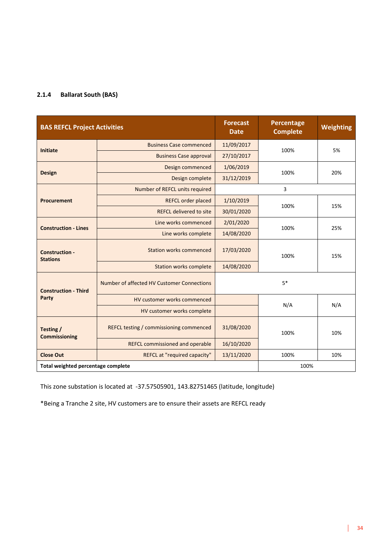#### **2.1.4 Ballarat South (BAS)**

| <b>BAS REFCL Project Activities</b>      |                                            | <b>Forecast</b><br><b>Date</b> | Percentage<br><b>Complete</b> | <b>Weighting</b> |
|------------------------------------------|--------------------------------------------|--------------------------------|-------------------------------|------------------|
| <b>Initiate</b>                          | <b>Business Case commenced</b>             | 11/09/2017                     | 100%                          | 5%               |
|                                          | <b>Business Case approval</b>              | 27/10/2017                     |                               |                  |
| <b>Design</b>                            | Design commenced                           | 1/06/2019                      | 100%                          | 20%              |
|                                          | Design complete                            | 31/12/2019                     |                               |                  |
|                                          | Number of REFCL units required             |                                | 3                             |                  |
| Procurement                              | <b>REFCL order placed</b>                  | 1/10/2019                      | 100%                          | 15%              |
|                                          | <b>REFCL delivered to site</b>             | 30/01/2020                     |                               |                  |
| <b>Construction - Lines</b>              | Line works commenced                       | 2/01/2020                      | 100%                          | 25%              |
|                                          | Line works complete                        | 14/08/2020                     |                               |                  |
| <b>Construction -</b><br><b>Stations</b> | <b>Station works commenced</b>             | 17/03/2020                     | 100%                          | 15%              |
|                                          | <b>Station works complete</b>              | 14/08/2020                     |                               |                  |
| <b>Construction - Third</b>              | Number of affected HV Customer Connections |                                | $5*$                          |                  |
| Party                                    | HV customer works commenced                |                                | N/A                           |                  |
|                                          | HV customer works complete                 |                                |                               | N/A              |
| Testing /<br><b>Commissioning</b>        | REFCL testing / commissioning commenced    | 31/08/2020                     | 100%                          | 10%              |
|                                          | <b>REFCL commissioned and operable</b>     | 16/10/2020                     |                               |                  |
| <b>Close Out</b>                         | REFCL at "required capacity"               | 13/11/2020                     | 100%                          | 10%              |
| Total weighted percentage complete       |                                            |                                | 100%                          |                  |

This zone substation is located at -37.57505901, 143.82751465 (latitude, longitude)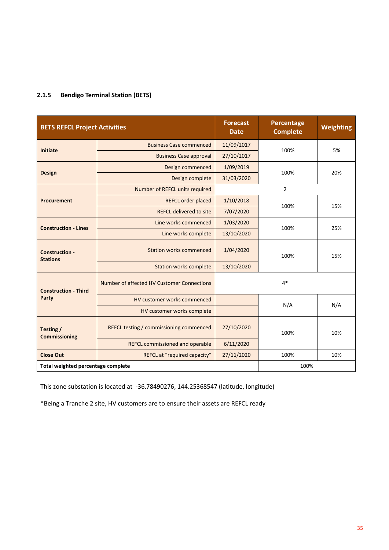#### **2.1.5 Bendigo Terminal Station (BETS)**

| <b>BETS REFCL Project Activities</b>     |                                            | <b>Forecast</b><br><b>Date</b> | Percentage<br><b>Complete</b> | <b>Weighting</b> |
|------------------------------------------|--------------------------------------------|--------------------------------|-------------------------------|------------------|
| <b>Initiate</b>                          | <b>Business Case commenced</b>             | 11/09/2017                     |                               |                  |
|                                          | <b>Business Case approval</b>              | 27/10/2017                     | 100%                          | 5%               |
| <b>Design</b>                            | Design commenced                           | 1/09/2019                      | 100%                          | 20%              |
|                                          | Design complete                            | 31/03/2020                     |                               |                  |
|                                          | Number of REFCL units required             |                                | $\overline{2}$                |                  |
| Procurement                              | <b>REFCL order placed</b>                  | 1/10/2018                      | 100%                          | 15%              |
|                                          | <b>REFCL delivered to site</b>             | 7/07/2020                      |                               |                  |
| <b>Construction - Lines</b>              | Line works commenced                       | 1/03/2020                      | 100%                          | 25%              |
|                                          | Line works complete                        | 13/10/2020                     |                               |                  |
| <b>Construction -</b><br><b>Stations</b> | <b>Station works commenced</b>             | 1/04/2020                      | 100%                          | 15%              |
|                                          | <b>Station works complete</b>              | 13/10/2020                     |                               |                  |
| <b>Construction - Third</b>              | Number of affected HV Customer Connections |                                | $4*$                          |                  |
| Party                                    | HV customer works commenced                |                                | N/A                           | N/A              |
|                                          | HV customer works complete                 |                                |                               |                  |
| Testing /<br><b>Commissioning</b>        | REFCL testing / commissioning commenced    | 27/10/2020                     | 100%                          | 10%              |
|                                          | <b>REFCL commissioned and operable</b>     | 6/11/2020                      |                               |                  |
| <b>Close Out</b>                         | REFCL at "required capacity"               | 27/11/2020                     | 100%                          | 10%              |
| Total weighted percentage complete       |                                            |                                | 100%                          |                  |

This zone substation is located at -36.78490276, 144.25368547 (latitude, longitude)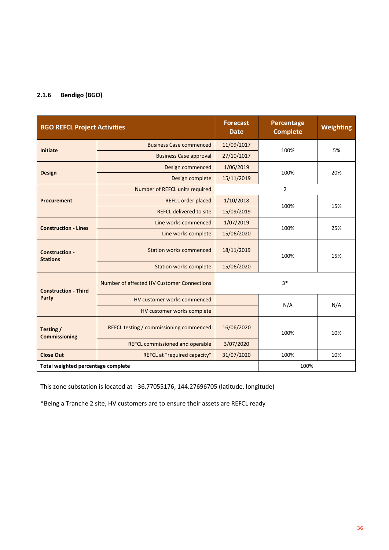#### **2.1.6 Bendigo (BGO)**

| <b>BGO REFCL Project Activities</b>      |                                            | <b>Forecast</b><br><b>Date</b> | Percentage<br><b>Complete</b> | <b>Weighting</b> |
|------------------------------------------|--------------------------------------------|--------------------------------|-------------------------------|------------------|
| <b>Initiate</b>                          | <b>Business Case commenced</b>             | 11/09/2017                     | 100%                          | 5%               |
|                                          | <b>Business Case approval</b>              | 27/10/2017                     |                               |                  |
| <b>Design</b>                            | Design commenced                           | 1/06/2019                      | 100%                          | 20%              |
|                                          | Design complete                            | 15/11/2019                     |                               |                  |
|                                          | Number of REFCL units required             |                                | $\overline{2}$                |                  |
| <b>Procurement</b>                       | <b>REFCL order placed</b>                  | 1/10/2018                      | 100%                          | 15%              |
|                                          | <b>REFCL delivered to site</b>             | 15/09/2019                     |                               |                  |
| <b>Construction - Lines</b>              | Line works commenced                       | 1/07/2019                      | 100%                          | 25%              |
|                                          | Line works complete                        | 15/06/2020                     |                               |                  |
| <b>Construction -</b><br><b>Stations</b> | <b>Station works commenced</b>             | 18/11/2019                     | 100%                          | 15%              |
|                                          | <b>Station works complete</b>              | 15/06/2020                     |                               |                  |
| <b>Construction - Third</b>              | Number of affected HV Customer Connections |                                | $3*$                          |                  |
| Party                                    | HV customer works commenced                |                                | N/A                           |                  |
|                                          | HV customer works complete                 |                                |                               | N/A              |
| Testing /<br><b>Commissioning</b>        | REFCL testing / commissioning commenced    | 16/06/2020                     | 100%                          | 10%              |
|                                          | <b>REFCL commissioned and operable</b>     | 3/07/2020                      |                               |                  |
| <b>Close Out</b>                         | REFCL at "required capacity"               | 31/07/2020                     | 100%                          | 10%              |
| Total weighted percentage complete       |                                            |                                | 100%                          |                  |

This zone substation is located at -36.77055176, 144.27696705 (latitude, longitude)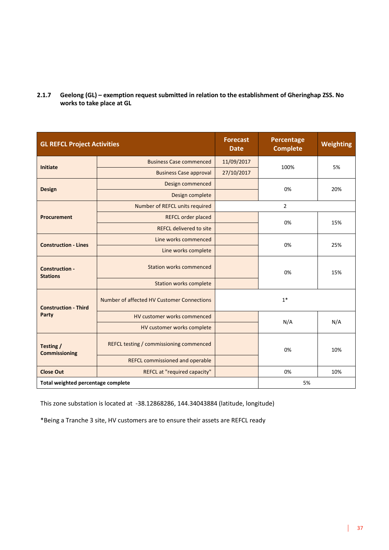**2.1.7 Geelong (GL) – exemption request submitted in relation to the establishment of Gheringhap ZSS. No works to take place at GL**

| <b>GL REFCL Project Activities</b>       |                                            | <b>Forecast</b><br><b>Date</b> | Percentage<br><b>Complete</b> | <b>Weighting</b> |
|------------------------------------------|--------------------------------------------|--------------------------------|-------------------------------|------------------|
| <b>Initiate</b>                          | <b>Business Case commenced</b>             | 11/09/2017                     | 100%                          |                  |
|                                          | <b>Business Case approval</b>              | 27/10/2017                     |                               | 5%               |
| <b>Design</b>                            | Design commenced                           |                                | 0%                            | 20%              |
|                                          | Design complete                            |                                |                               |                  |
|                                          | Number of REFCL units required             |                                | $\overline{2}$                |                  |
| <b>Procurement</b>                       | <b>REFCL order placed</b>                  |                                | 0%                            | 15%              |
|                                          | <b>REFCL delivered to site</b>             |                                |                               |                  |
| <b>Construction - Lines</b>              | Line works commenced                       |                                | 0%                            | 25%              |
|                                          | Line works complete                        |                                |                               |                  |
| <b>Construction -</b><br><b>Stations</b> | <b>Station works commenced</b>             |                                | 0%                            | 15%              |
|                                          | <b>Station works complete</b>              |                                |                               |                  |
| <b>Construction - Third</b>              | Number of affected HV Customer Connections |                                | $1*$                          |                  |
| Party                                    | HV customer works commenced                |                                | N/A                           | N/A              |
|                                          | HV customer works complete                 |                                |                               |                  |
| Testing /<br><b>Commissioning</b>        | REFCL testing / commissioning commenced    |                                | 0%                            | 10%              |
|                                          | <b>REFCL commissioned and operable</b>     |                                |                               |                  |
| <b>Close Out</b>                         | REFCL at "required capacity"               |                                | 0%                            | 10%              |
| Total weighted percentage complete       |                                            |                                | 5%                            |                  |

This zone substation is located at -38.12868286, 144.34043884 (latitude, longitude)

\*Being a Tranche 3 site, HV customers are to ensure their assets are REFCL ready

 $\mathbf{I}$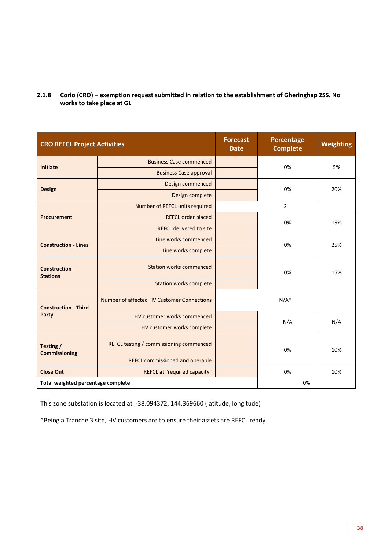**2.1.8 Corio (CRO) – exemption request submitted in relation to the establishment of Gheringhap ZSS. No works to take place at GL**

| <b>CRO REFCL Project Activities</b>      |                                            | <b>Forecast</b><br><b>Date</b> | Percentage<br><b>Complete</b> | Weighting |
|------------------------------------------|--------------------------------------------|--------------------------------|-------------------------------|-----------|
| <b>Initiate</b>                          | <b>Business Case commenced</b>             |                                | 0%                            | 5%        |
|                                          | <b>Business Case approval</b>              |                                |                               |           |
| <b>Design</b>                            | Design commenced                           |                                | 0%                            |           |
|                                          | Design complete                            |                                |                               | 20%       |
|                                          | Number of REFCL units required             |                                | $\overline{2}$                |           |
| <b>Procurement</b>                       | <b>REFCL order placed</b>                  |                                | 0%                            | 15%       |
|                                          | <b>REFCL delivered to site</b>             |                                |                               |           |
| <b>Construction - Lines</b>              | Line works commenced                       |                                | 0%                            | 25%       |
|                                          | Line works complete                        |                                |                               |           |
| <b>Construction -</b><br><b>Stations</b> | <b>Station works commenced</b>             |                                | 0%                            | 15%       |
|                                          | <b>Station works complete</b>              |                                |                               |           |
| <b>Construction - Third</b>              | Number of affected HV Customer Connections |                                | $N/A^*$                       |           |
| Party                                    | HV customer works commenced                |                                | N/A                           | N/A       |
|                                          | HV customer works complete                 |                                |                               |           |
| Testing /<br><b>Commissioning</b>        | REFCL testing / commissioning commenced    |                                | 0%                            | 10%       |
|                                          | <b>REFCL commissioned and operable</b>     |                                |                               |           |
| <b>Close Out</b>                         | REFCL at "required capacity"               | 0%<br>10%                      |                               |           |
| Total weighted percentage complete       |                                            |                                | 0%                            |           |

This zone substation is located at -38.094372, 144.369660 (latitude, longitude)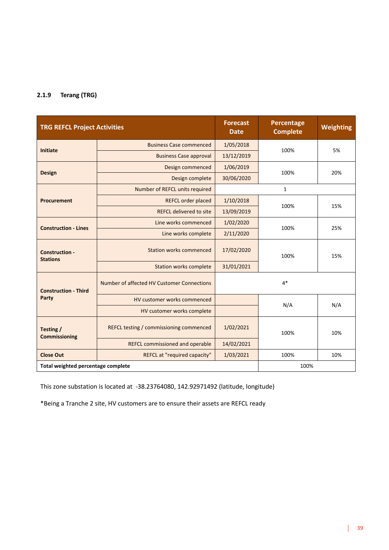#### **2.1.9 Terang (TRG)**

| <b>TRG REFCL Project Activities</b>      |                                             | <b>Forecast</b><br><b>Date</b> | Percentage<br><b>Complete</b> | Weighting |
|------------------------------------------|---------------------------------------------|--------------------------------|-------------------------------|-----------|
| Initiate                                 | <b>Business Case commenced</b>              | 1/05/2018                      | 100%                          | 5%        |
|                                          | 13/12/2019<br><b>Business Case approval</b> |                                |                               |           |
| <b>Design</b>                            | Design commenced                            | 1/06/2019                      | 100%                          | 20%       |
|                                          | Design complete                             | 30/06/2020                     |                               |           |
|                                          | Number of REFCL units required              |                                | $\mathbf{1}$                  |           |
| <b>Procurement</b>                       | <b>REFCL order placed</b>                   | 1/10/2018                      | 100%                          | 15%       |
|                                          | <b>REFCL delivered to site</b>              | 13/09/2019                     |                               |           |
| <b>Construction - Lines</b>              | Line works commenced                        | 1/02/2020                      | 100%                          | 25%       |
|                                          | 2/11/2020<br>Line works complete            |                                |                               |           |
| <b>Construction -</b><br><b>Stations</b> | <b>Station works commenced</b>              | 17/02/2020                     | 100%                          | 15%       |
|                                          | <b>Station works complete</b>               | 31/01/2021                     |                               |           |
| <b>Construction - Third</b>              | Number of affected HV Customer Connections  |                                | $4*$                          |           |
| Party                                    | HV customer works commenced                 |                                | N/A                           |           |
|                                          | HV customer works complete                  |                                |                               | N/A       |
| Testing /<br><b>Commissioning</b>        | REFCL testing / commissioning commenced     | 1/02/2021                      | 100%                          | 10%       |
|                                          | <b>REFCL commissioned and operable</b>      | 14/02/2021                     |                               |           |
| <b>Close Out</b>                         | REFCL at "required capacity"                | 1/03/2021<br>100%<br>10%       |                               |           |
| Total weighted percentage complete       |                                             |                                | 100%                          |           |

This zone substation is located at -38.23764080, 142.92971492 (latitude, longitude)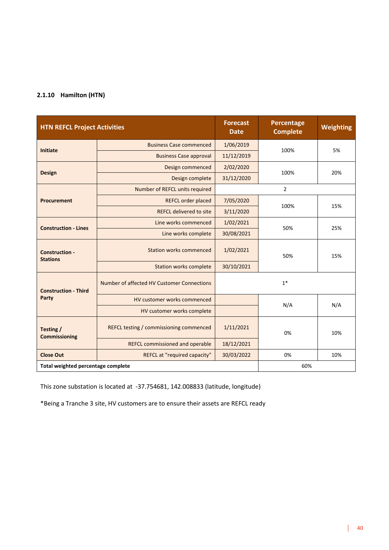#### **2.1.10 Hamilton (HTN)**

| <b>HTN REFCL Project Activities</b>      |                                             | <b>Forecast</b><br><b>Date</b> | Percentage<br><b>Complete</b> | <b>Weighting</b> |
|------------------------------------------|---------------------------------------------|--------------------------------|-------------------------------|------------------|
| <b>Initiate</b>                          | <b>Business Case commenced</b>              | 1/06/2019                      | 100%                          | 5%               |
|                                          | 11/12/2019<br><b>Business Case approval</b> |                                |                               |                  |
| <b>Design</b>                            | Design commenced                            | 2/02/2020                      | 100%                          | 20%              |
|                                          | Design complete                             | 31/12/2020                     |                               |                  |
|                                          | Number of REFCL units required              |                                | $\overline{2}$                |                  |
| <b>Procurement</b>                       | <b>REFCL order placed</b>                   | 7/05/2020                      | 100%                          | 15%              |
|                                          | <b>REFCL delivered to site</b>              | 3/11/2020                      |                               |                  |
| <b>Construction - Lines</b>              | Line works commenced                        | 1/02/2021                      | 50%                           | 25%              |
|                                          | Line works complete                         | 30/08/2021                     |                               |                  |
| <b>Construction -</b><br><b>Stations</b> | 1/02/2021<br><b>Station works commenced</b> |                                | 50%                           | 15%              |
|                                          | <b>Station works complete</b>               | 30/10/2021                     |                               |                  |
| <b>Construction - Third</b>              | Number of affected HV Customer Connections  |                                | $1*$                          |                  |
| Party                                    | HV customer works commenced                 |                                |                               |                  |
|                                          | HV customer works complete                  |                                | N/A                           | N/A              |
| Testing /<br><b>Commissioning</b>        | REFCL testing / commissioning commenced     | 1/11/2021<br>0%                |                               | 10%              |
|                                          | <b>REFCL commissioned and operable</b>      | 18/12/2021                     |                               |                  |
| <b>Close Out</b>                         | REFCL at "required capacity"                | 30/03/2022<br>0%<br>10%        |                               |                  |
| Total weighted percentage complete       |                                             |                                | 60%                           |                  |

This zone substation is located at -37.754681, 142.008833 (latitude, longitude)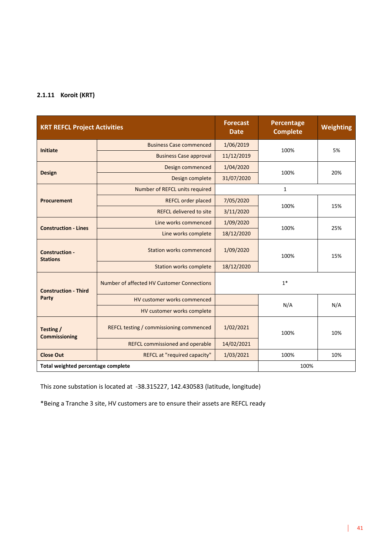#### **2.1.11 Koroit (KRT)**

| <b>KRT REFCL Project Activities</b>      |                                            | <b>Forecast</b><br><b>Date</b> | Percentage<br><b>Complete</b> | Weighting |
|------------------------------------------|--------------------------------------------|--------------------------------|-------------------------------|-----------|
| <b>Initiate</b>                          | <b>Business Case commenced</b>             | 1/06/2019                      | 100%                          | 5%        |
|                                          | <b>Business Case approval</b>              | 11/12/2019                     |                               |           |
|                                          | Design commenced                           | 1/04/2020                      | 100%                          |           |
| <b>Design</b>                            | Design complete                            | 31/07/2020                     |                               | 20%       |
|                                          | Number of REFCL units required             |                                | $\mathbf{1}$                  |           |
| <b>Procurement</b>                       | REFCL order placed                         | 7/05/2020                      | 100%                          | 15%       |
|                                          | <b>REFCL delivered to site</b>             | 3/11/2020                      |                               |           |
| <b>Construction - Lines</b>              | Line works commenced                       | 1/09/2020<br>100%              |                               | 25%       |
|                                          | Line works complete                        | 18/12/2020                     |                               |           |
| <b>Construction -</b><br><b>Stations</b> | <b>Station works commenced</b>             | 1/09/2020                      |                               | 15%       |
|                                          | <b>Station works complete</b>              | 18/12/2020                     |                               |           |
| <b>Construction - Third</b>              | Number of affected HV Customer Connections | $1*$                           |                               |           |
| Party                                    | HV customer works commenced                |                                | N/A                           |           |
|                                          | HV customer works complete                 |                                |                               | N/A       |
| Testing /<br><b>Commissioning</b>        | REFCL testing / commissioning commenced    | 1/02/2021<br>100%              |                               | 10%       |
|                                          | <b>REFCL commissioned and operable</b>     | 14/02/2021                     |                               |           |
| <b>Close Out</b>                         | REFCL at "required capacity"               | 1/03/2021<br>100%<br>10%       |                               |           |
| Total weighted percentage complete       |                                            |                                | 100%                          |           |

This zone substation is located at -38.315227, 142.430583 (latitude, longitude)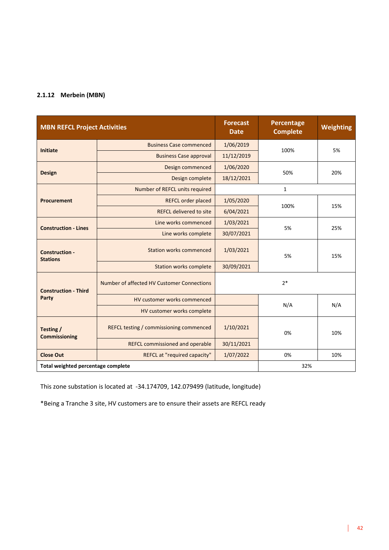#### **2.1.12 Merbein (MBN)**

| <b>MBN REFCL Project Activities</b>      |                                            | <b>Forecast</b><br><b>Date</b> | Percentage<br><b>Complete</b> | Weighting |
|------------------------------------------|--------------------------------------------|--------------------------------|-------------------------------|-----------|
| <b>Initiate</b>                          | <b>Business Case commenced</b>             | 1/06/2019                      | 100%                          | 5%        |
|                                          | <b>Business Case approval</b>              | 11/12/2019                     |                               |           |
|                                          | Design commenced                           | 1/06/2020                      | 50%                           | 20%       |
| <b>Design</b>                            | Design complete                            | 18/12/2021                     |                               |           |
|                                          | Number of REFCL units required             |                                | $\mathbf{1}$                  |           |
| <b>Procurement</b>                       | <b>REFCL order placed</b>                  | 1/05/2020                      | 100%                          | 15%       |
|                                          | <b>REFCL delivered to site</b>             | 6/04/2021                      |                               |           |
| <b>Construction - Lines</b>              | Line works commenced                       | 1/03/2021                      | 5%                            | 25%       |
|                                          | Line works complete                        | 30/07/2021                     |                               |           |
| <b>Construction -</b><br><b>Stations</b> | <b>Station works commenced</b>             | 1/03/2021                      | 5%                            | 15%       |
|                                          | <b>Station works complete</b>              | 30/09/2021                     |                               |           |
| <b>Construction - Third</b>              | Number of affected HV Customer Connections | $2*$                           |                               |           |
| Party                                    | HV customer works commenced                |                                |                               |           |
|                                          | HV customer works complete                 |                                | N/A                           | N/A       |
| Testing /<br><b>Commissioning</b>        | REFCL testing / commissioning commenced    | 1/10/2021<br>0%                |                               | 10%       |
|                                          | <b>REFCL commissioned and operable</b>     | 30/11/2021                     |                               |           |
| <b>Close Out</b>                         | REFCL at "required capacity"               | 1/07/2022<br>0%<br>10%         |                               |           |
| Total weighted percentage complete       |                                            |                                | 32%                           |           |

This zone substation is located at -34.174709, 142.079499 (latitude, longitude)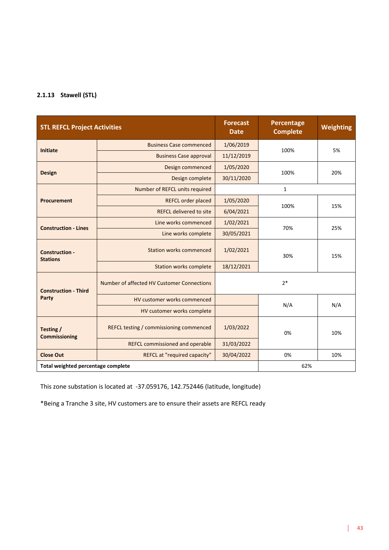#### **2.1.13 Stawell (STL)**

| <b>STL REFCL Project Activities</b>      |                                            | <b>Forecast</b><br><b>Date</b> | Percentage<br><b>Complete</b> | Weighting |
|------------------------------------------|--------------------------------------------|--------------------------------|-------------------------------|-----------|
| <b>Initiate</b>                          | <b>Business Case commenced</b>             | 1/06/2019                      | 100%                          | 5%        |
|                                          | <b>Business Case approval</b>              | 11/12/2019                     |                               |           |
| <b>Design</b>                            | Design commenced                           | 1/05/2020                      | 100%                          | 20%       |
|                                          | Design complete                            | 30/11/2020                     |                               |           |
|                                          | Number of REFCL units required             |                                | $\mathbf{1}$                  |           |
| <b>Procurement</b>                       | <b>REFCL order placed</b>                  | 1/05/2020                      | 100%                          | 15%       |
|                                          | <b>REFCL delivered to site</b>             | 6/04/2021                      |                               |           |
| <b>Construction - Lines</b>              | Line works commenced                       | 1/02/2021                      | 70%                           | 25%       |
|                                          | Line works complete                        | 30/05/2021                     |                               |           |
| <b>Construction -</b><br><b>Stations</b> | <b>Station works commenced</b>             | 1/02/2021                      | 30%                           | 15%       |
|                                          | <b>Station works complete</b>              | 18/12/2021                     |                               |           |
| <b>Construction - Third</b>              | Number of affected HV Customer Connections | $2*$                           |                               |           |
| Party                                    | HV customer works commenced                |                                |                               | N/A       |
|                                          | HV customer works complete                 |                                | N/A                           |           |
| Testing /<br><b>Commissioning</b>        | REFCL testing / commissioning commenced    | 1/03/2022<br>0%                |                               | 10%       |
|                                          | <b>REFCL commissioned and operable</b>     | 31/03/2022                     |                               |           |
| <b>Close Out</b>                         | REFCL at "required capacity"               | 30/04/2022<br>0%<br>10%        |                               |           |
| Total weighted percentage complete       |                                            |                                | 62%                           |           |

This zone substation is located at -37.059176, 142.752446 (latitude, longitude)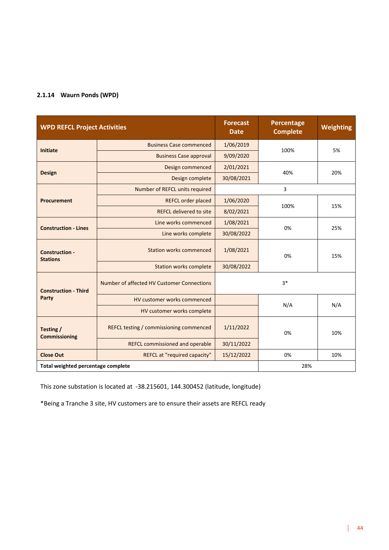#### **2.1.14 Waurn Ponds (WPD)**

| <b>WPD REFCL Project Activities</b>      |                                            | <b>Forecast</b><br><b>Date</b> | Percentage<br><b>Complete</b> | <b>Weighting</b> |
|------------------------------------------|--------------------------------------------|--------------------------------|-------------------------------|------------------|
| <b>Initiate</b>                          | <b>Business Case commenced</b>             | 1/06/2019                      | 100%                          | 5%               |
|                                          | <b>Business Case approval</b>              | 9/09/2020                      |                               |                  |
| <b>Design</b>                            | 2/01/2021<br>Design commenced              |                                | 40%                           | 20%              |
|                                          | Design complete                            | 30/08/2021                     |                               |                  |
|                                          | Number of REFCL units required             |                                | 3                             |                  |
| <b>Procurement</b>                       | REFCL order placed                         | 1/06/2020                      | 100%                          | 15%              |
|                                          | <b>REFCL delivered to site</b>             | 8/02/2021                      |                               |                  |
| <b>Construction - Lines</b>              | Line works commenced                       | 1/08/2021                      |                               | 25%              |
|                                          | Line works complete                        | 30/08/2022                     |                               |                  |
| <b>Construction -</b><br><b>Stations</b> | <b>Station works commenced</b>             | 1/08/2021                      | 0%                            | 15%              |
|                                          | <b>Station works complete</b>              | 30/08/2022                     |                               |                  |
| <b>Construction - Third</b>              | Number of affected HV Customer Connections |                                | $3*$                          |                  |
| Party                                    | HV customer works commenced                |                                | N/A                           | N/A              |
|                                          | HV customer works complete                 |                                |                               |                  |
| Testing /<br><b>Commissioning</b>        | REFCL testing / commissioning commenced    | 1/11/2022                      | 0%                            | 10%              |
|                                          | <b>REFCL commissioned and operable</b>     | 30/11/2022                     |                               |                  |
| <b>Close Out</b>                         | REFCL at "required capacity"               | 15/12/2022<br>0%<br>10%        |                               |                  |
| Total weighted percentage complete       |                                            |                                | 28%                           |                  |

This zone substation is located at -38.215601, 144.300452 (latitude, longitude)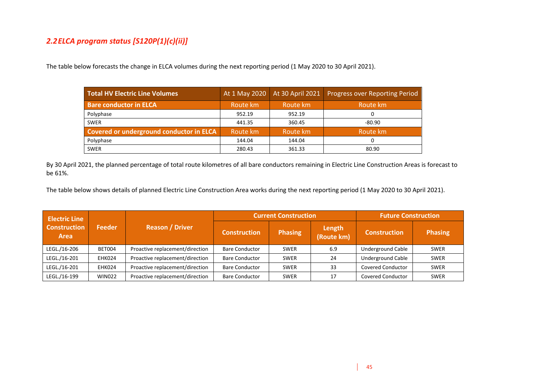#### *2.2ELCA program status [S120P(1)(c)(ii)]*

The table below forecasts the change in ELCA volumes during the next reporting period (1 May 2020 to 30 April 2021).

| <b>Total HV Electric Line Volumes</b>    |          |          | At 1 May 2020   At 30 April 2021   Progress over Reporting Period |
|------------------------------------------|----------|----------|-------------------------------------------------------------------|
| <b>Bare conductor in ELCA</b>            | Route km | Route km | Route km                                                          |
| Polyphase                                | 952.19   | 952.19   |                                                                   |
| <b>SWER</b>                              | 441.35   | 360.45   | $-80.90$                                                          |
| Covered or underground conductor in ELCA | Route km | Route km | Route km                                                          |
| Polyphase                                | 144.04   | 144.04   |                                                                   |
| <b>SWER</b>                              | 280.43   | 361.33   | 80.90                                                             |

By 30 April 2021, the planned percentage of total route kilometres of all bare conductors remaining in Electric Line Construction Areas is forecast to be 61%.

The table below shows details of planned Electric Line Construction Area works during the next reporting period (1 May 2020 to 30 April 2021).

| <b>Electric Line</b>        |               |                                 | <b>Current Construction</b> |                |                      | <b>Future Construction</b> |                |
|-----------------------------|---------------|---------------------------------|-----------------------------|----------------|----------------------|----------------------------|----------------|
| <b>Construction</b><br>Area | <b>Feeder</b> | <b>Reason / Driver</b>          | <b>Construction</b>         | <b>Phasing</b> | Length<br>(Route km) | <b>Construction</b>        | <b>Phasing</b> |
| LEGL./16-206                | BET004        | Proactive replacement/direction | <b>Bare Conductor</b>       | <b>SWER</b>    | 6.9                  | <b>Underground Cable</b>   | <b>SWER</b>    |
| LEGL./16-201                | EHK024        | Proactive replacement/direction | <b>Bare Conductor</b>       | <b>SWER</b>    | 24                   | <b>Underground Cable</b>   | <b>SWER</b>    |
| LEGL./16-201                | EHK024        | Proactive replacement/direction | <b>Bare Conductor</b>       | <b>SWER</b>    | 33                   | Covered Conductor          | <b>SWER</b>    |
| LEGL./16-199                | <b>WIN022</b> | Proactive replacement/direction | <b>Bare Conductor</b>       | <b>SWER</b>    | 17                   | Covered Conductor          | <b>SWER</b>    |